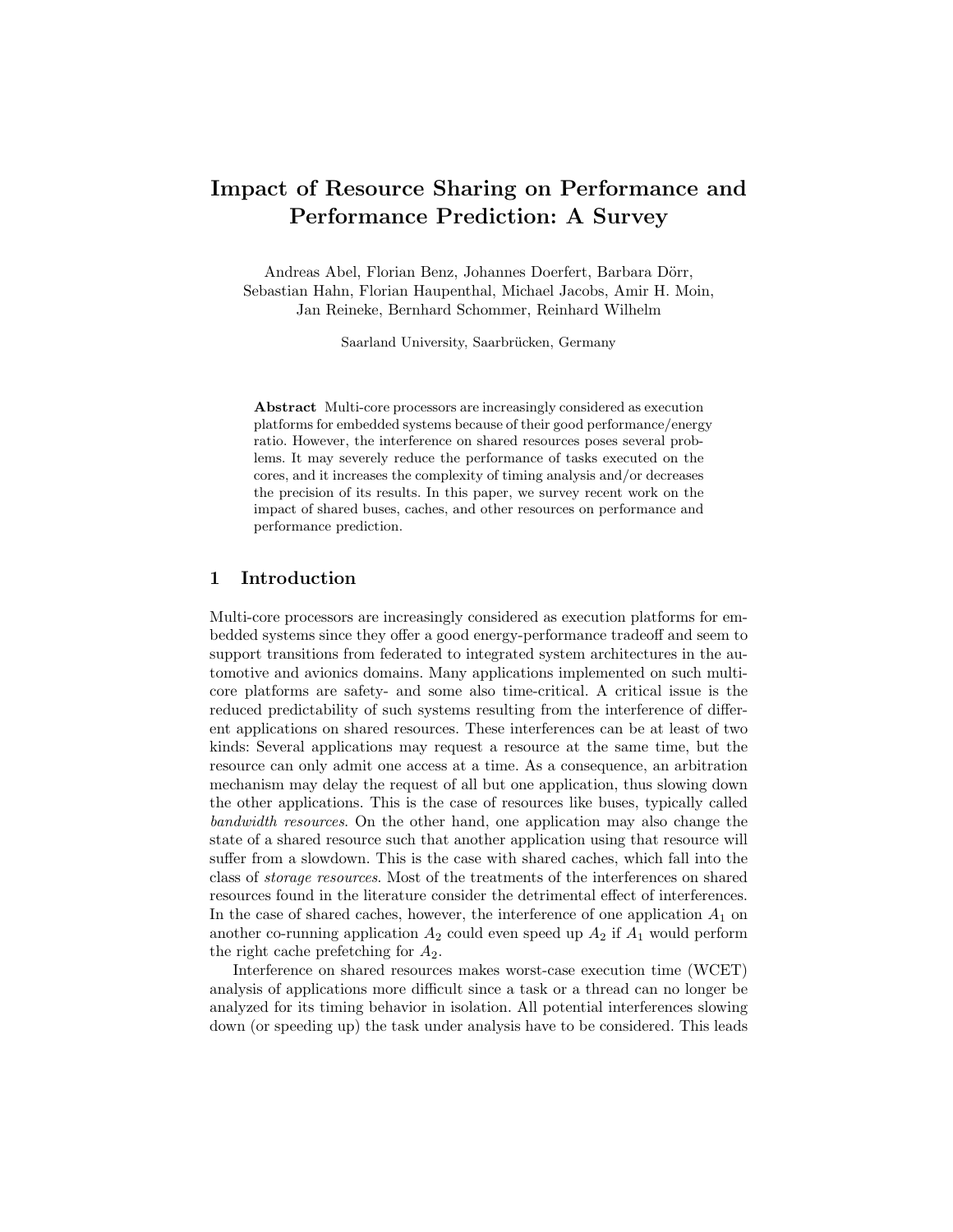# Impact of Resource Sharing on Performance and Performance Prediction: A Survey

Andreas Abel, Florian Benz, Johannes Doerfert, Barbara Dörr, Sebastian Hahn, Florian Haupenthal, Michael Jacobs, Amir H. Moin, Jan Reineke, Bernhard Schommer, Reinhard Wilhelm

Saarland University, Saarbrücken, Germany

Abstract Multi-core processors are increasingly considered as execution platforms for embedded systems because of their good performance/energy ratio. However, the interference on shared resources poses several problems. It may severely reduce the performance of tasks executed on the cores, and it increases the complexity of timing analysis and/or decreases the precision of its results. In this paper, we survey recent work on the impact of shared buses, caches, and other resources on performance and performance prediction.

### 1 Introduction

Multi-core processors are increasingly considered as execution platforms for embedded systems since they offer a good energy-performance tradeoff and seem to support transitions from federated to integrated system architectures in the automotive and avionics domains. Many applications implemented on such multicore platforms are safety- and some also time-critical. A critical issue is the reduced predictability of such systems resulting from the interference of different applications on shared resources. These interferences can be at least of two kinds: Several applications may request a resource at the same time, but the resource can only admit one access at a time. As a consequence, an arbitration mechanism may delay the request of all but one application, thus slowing down the other applications. This is the case of resources like buses, typically called bandwidth resources. On the other hand, one application may also change the state of a shared resource such that another application using that resource will suffer from a slowdown. This is the case with shared caches, which fall into the class of storage resources. Most of the treatments of the interferences on shared resources found in the literature consider the detrimental effect of interferences. In the case of shared caches, however, the interference of one application  $A_1$  on another co-running application  $A_2$  could even speed up  $A_2$  if  $A_1$  would perform the right cache prefetching for  $A_2$ .

Interference on shared resources makes worst-case execution time (WCET) analysis of applications more difficult since a task or a thread can no longer be analyzed for its timing behavior in isolation. All potential interferences slowing down (or speeding up) the task under analysis have to be considered. This leads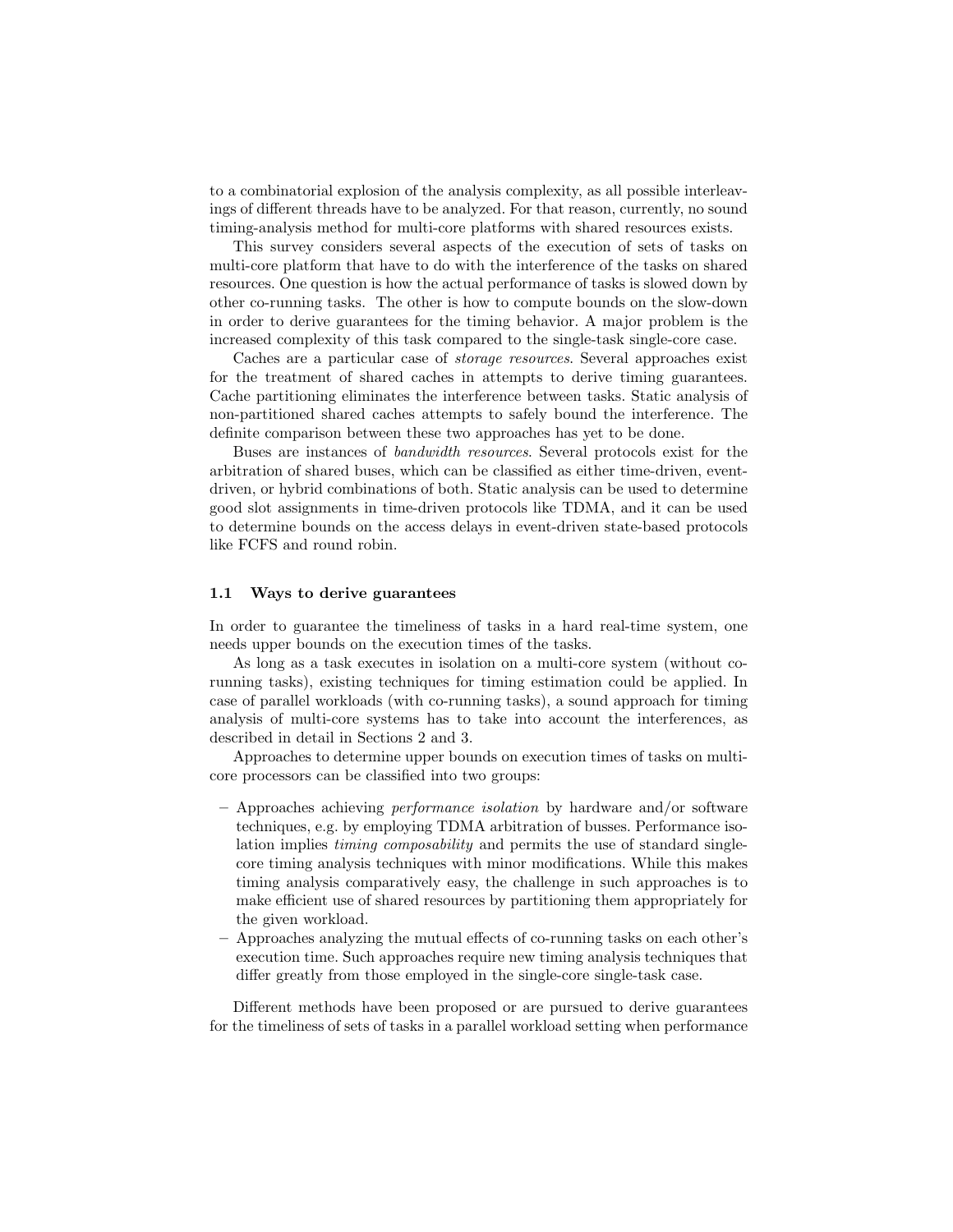to a combinatorial explosion of the analysis complexity, as all possible interleavings of different threads have to be analyzed. For that reason, currently, no sound timing-analysis method for multi-core platforms with shared resources exists.

This survey considers several aspects of the execution of sets of tasks on multi-core platform that have to do with the interference of the tasks on shared resources. One question is how the actual performance of tasks is slowed down by other co-running tasks. The other is how to compute bounds on the slow-down in order to derive guarantees for the timing behavior. A major problem is the increased complexity of this task compared to the single-task single-core case.

Caches are a particular case of storage resources. Several approaches exist for the treatment of shared caches in attempts to derive timing guarantees. Cache partitioning eliminates the interference between tasks. Static analysis of non-partitioned shared caches attempts to safely bound the interference. The definite comparison between these two approaches has yet to be done.

Buses are instances of bandwidth resources. Several protocols exist for the arbitration of shared buses, which can be classified as either time-driven, eventdriven, or hybrid combinations of both. Static analysis can be used to determine good slot assignments in time-driven protocols like TDMA, and it can be used to determine bounds on the access delays in event-driven state-based protocols like FCFS and round robin.

#### 1.1 Ways to derive guarantees

In order to guarantee the timeliness of tasks in a hard real-time system, one needs upper bounds on the execution times of the tasks.

As long as a task executes in isolation on a multi-core system (without corunning tasks), existing techniques for timing estimation could be applied. In case of parallel workloads (with co-running tasks), a sound approach for timing analysis of multi-core systems has to take into account the interferences, as described in detail in Sections 2 and 3.

Approaches to determine upper bounds on execution times of tasks on multicore processors can be classified into two groups:

- Approaches achieving performance isolation by hardware and/or software techniques, e.g. by employing TDMA arbitration of busses. Performance isolation implies timing composability and permits the use of standard singlecore timing analysis techniques with minor modifications. While this makes timing analysis comparatively easy, the challenge in such approaches is to make efficient use of shared resources by partitioning them appropriately for the given workload.
- Approaches analyzing the mutual effects of co-running tasks on each other's execution time. Such approaches require new timing analysis techniques that differ greatly from those employed in the single-core single-task case.

Different methods have been proposed or are pursued to derive guarantees for the timeliness of sets of tasks in a parallel workload setting when performance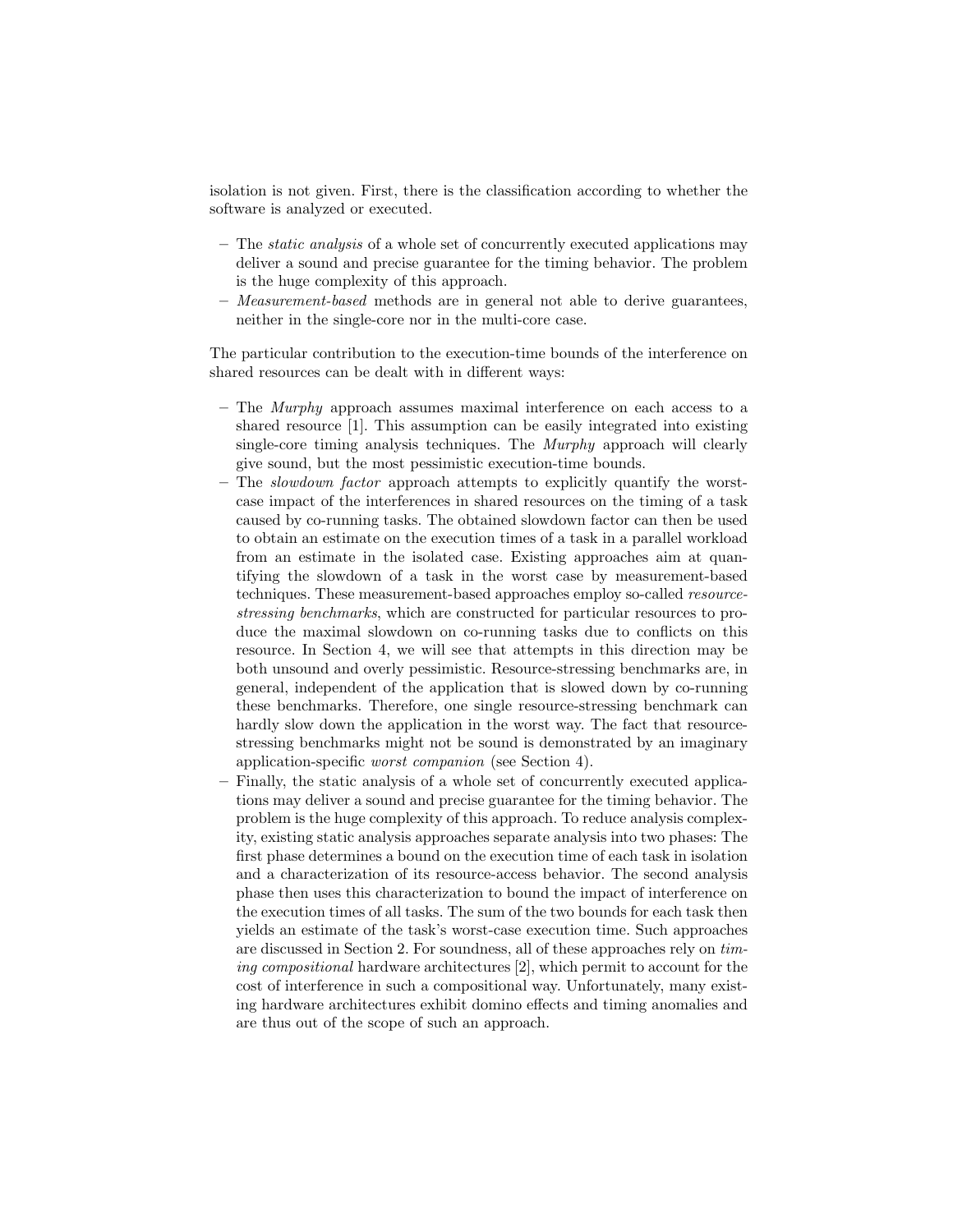isolation is not given. First, there is the classification according to whether the software is analyzed or executed.

- The static analysis of a whole set of concurrently executed applications may deliver a sound and precise guarantee for the timing behavior. The problem is the huge complexity of this approach.
- Measurement-based methods are in general not able to derive guarantees, neither in the single-core nor in the multi-core case.

The particular contribution to the execution-time bounds of the interference on shared resources can be dealt with in different ways:

- The Murphy approach assumes maximal interference on each access to a shared resource [1]. This assumption can be easily integrated into existing single-core timing analysis techniques. The Murphy approach will clearly give sound, but the most pessimistic execution-time bounds.
- The slowdown factor approach attempts to explicitly quantify the worstcase impact of the interferences in shared resources on the timing of a task caused by co-running tasks. The obtained slowdown factor can then be used to obtain an estimate on the execution times of a task in a parallel workload from an estimate in the isolated case. Existing approaches aim at quantifying the slowdown of a task in the worst case by measurement-based techniques. These measurement-based approaches employ so-called resourcestressing benchmarks, which are constructed for particular resources to produce the maximal slowdown on co-running tasks due to conflicts on this resource. In Section 4, we will see that attempts in this direction may be both unsound and overly pessimistic. Resource-stressing benchmarks are, in general, independent of the application that is slowed down by co-running these benchmarks. Therefore, one single resource-stressing benchmark can hardly slow down the application in the worst way. The fact that resourcestressing benchmarks might not be sound is demonstrated by an imaginary application-specific worst companion (see Section 4).
- Finally, the static analysis of a whole set of concurrently executed applications may deliver a sound and precise guarantee for the timing behavior. The problem is the huge complexity of this approach. To reduce analysis complexity, existing static analysis approaches separate analysis into two phases: The first phase determines a bound on the execution time of each task in isolation and a characterization of its resource-access behavior. The second analysis phase then uses this characterization to bound the impact of interference on the execution times of all tasks. The sum of the two bounds for each task then yields an estimate of the task's worst-case execution time. Such approaches are discussed in Section 2. For soundness, all of these approaches rely on timing compositional hardware architectures [2], which permit to account for the cost of interference in such a compositional way. Unfortunately, many existing hardware architectures exhibit domino effects and timing anomalies and are thus out of the scope of such an approach.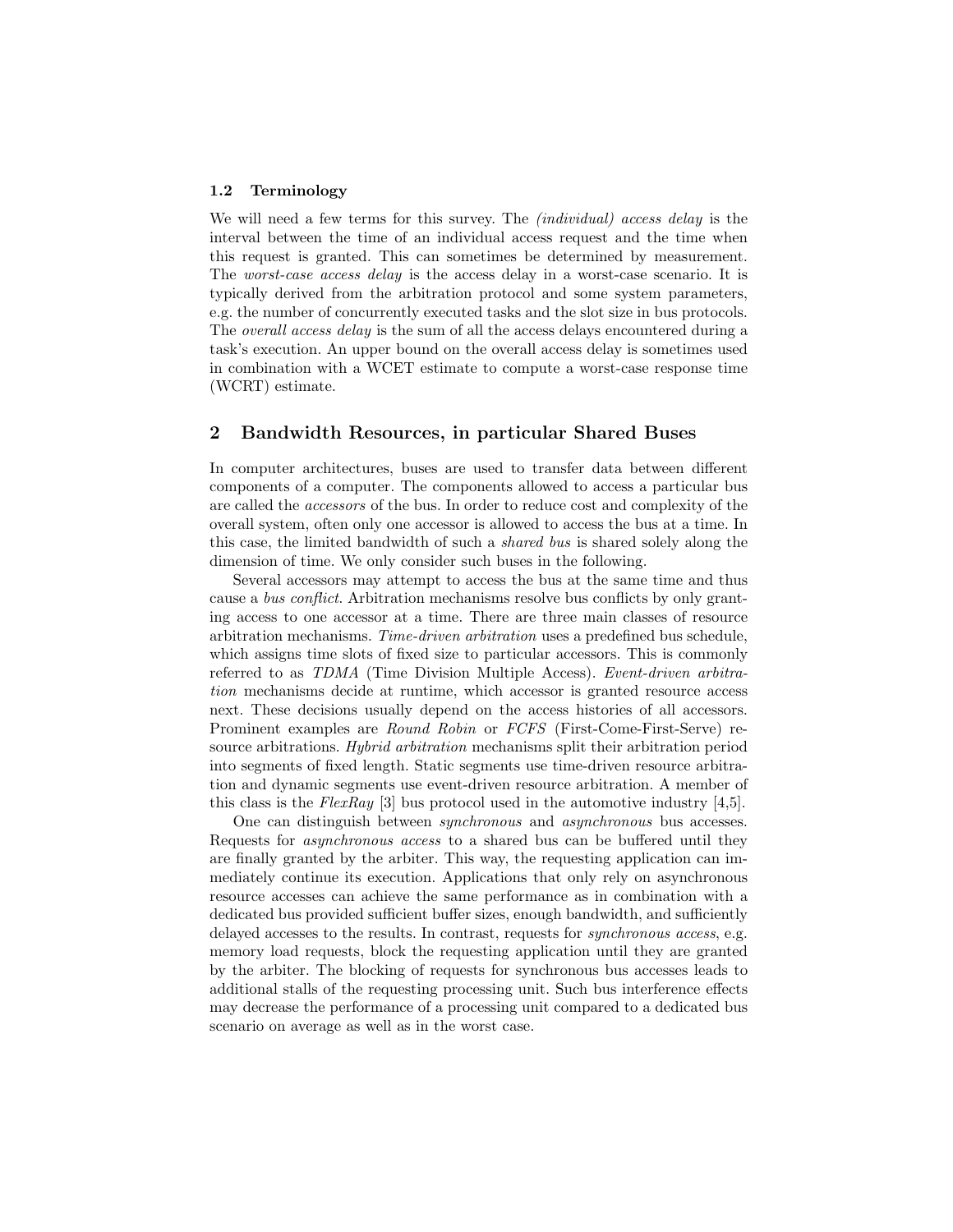#### 1.2 Terminology

We will need a few terms for this survey. The *(individual)* access delay is the interval between the time of an individual access request and the time when this request is granted. This can sometimes be determined by measurement. The worst-case access delay is the access delay in a worst-case scenario. It is typically derived from the arbitration protocol and some system parameters, e.g. the number of concurrently executed tasks and the slot size in bus protocols. The overall access delay is the sum of all the access delays encountered during a task's execution. An upper bound on the overall access delay is sometimes used in combination with a WCET estimate to compute a worst-case response time (WCRT) estimate.

# 2 Bandwidth Resources, in particular Shared Buses

In computer architectures, buses are used to transfer data between different components of a computer. The components allowed to access a particular bus are called the accessors of the bus. In order to reduce cost and complexity of the overall system, often only one accessor is allowed to access the bus at a time. In this case, the limited bandwidth of such a shared bus is shared solely along the dimension of time. We only consider such buses in the following.

Several accessors may attempt to access the bus at the same time and thus cause a bus conflict. Arbitration mechanisms resolve bus conflicts by only granting access to one accessor at a time. There are three main classes of resource arbitration mechanisms. Time-driven arbitration uses a predefined bus schedule, which assigns time slots of fixed size to particular accessors. This is commonly referred to as TDMA (Time Division Multiple Access). Event-driven arbitration mechanisms decide at runtime, which accessor is granted resource access next. These decisions usually depend on the access histories of all accessors. Prominent examples are Round Robin or FCFS (First-Come-First-Serve) resource arbitrations. *Hybrid arbitration* mechanisms split their arbitration period into segments of fixed length. Static segments use time-driven resource arbitration and dynamic segments use event-driven resource arbitration. A member of this class is the FlexRay [3] bus protocol used in the automotive industry [4,5].

One can distinguish between synchronous and asynchronous bus accesses. Requests for asynchronous access to a shared bus can be buffered until they are finally granted by the arbiter. This way, the requesting application can immediately continue its execution. Applications that only rely on asynchronous resource accesses can achieve the same performance as in combination with a dedicated bus provided sufficient buffer sizes, enough bandwidth, and sufficiently delayed accesses to the results. In contrast, requests for synchronous access, e.g. memory load requests, block the requesting application until they are granted by the arbiter. The blocking of requests for synchronous bus accesses leads to additional stalls of the requesting processing unit. Such bus interference effects may decrease the performance of a processing unit compared to a dedicated bus scenario on average as well as in the worst case.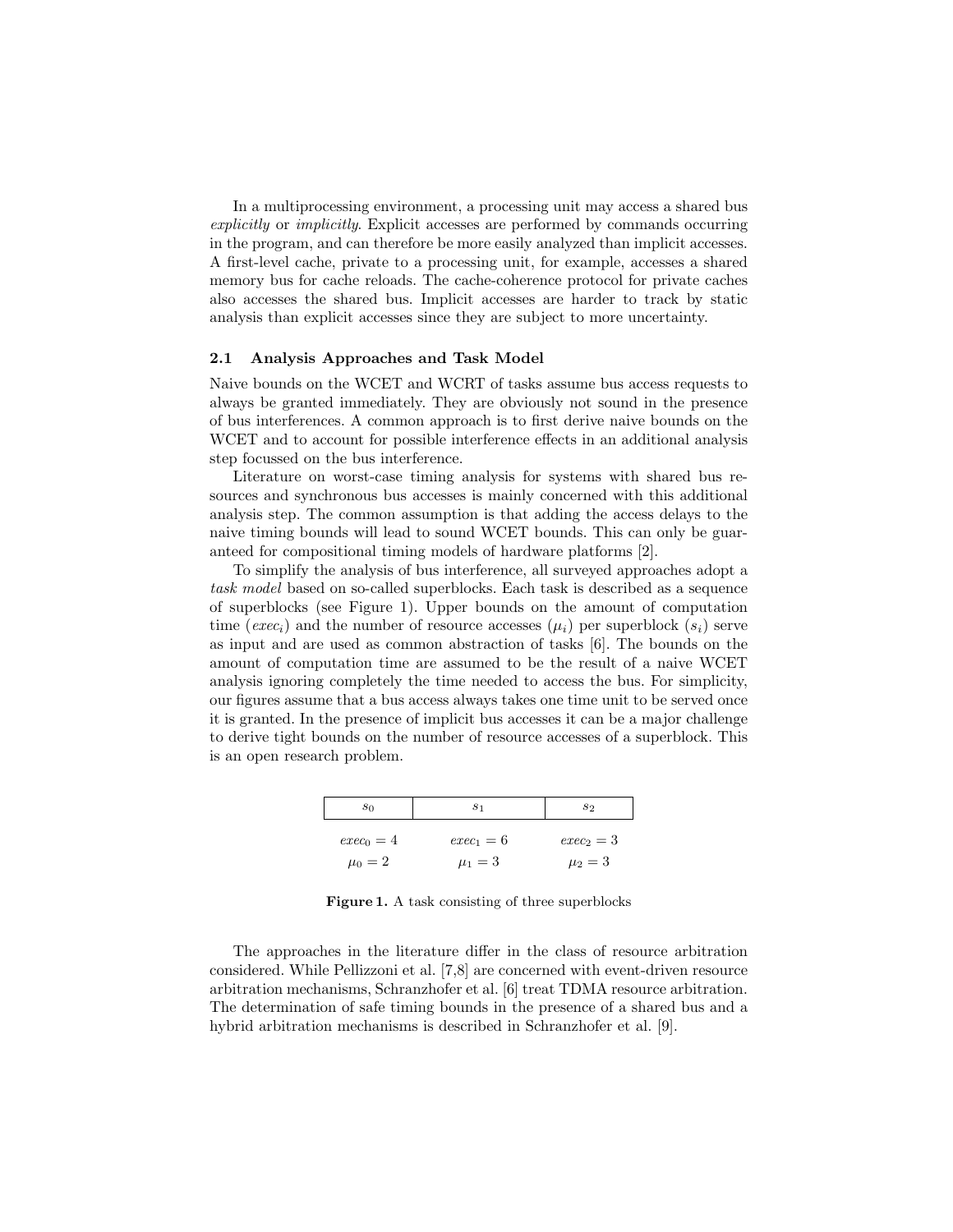In a multiprocessing environment, a processing unit may access a shared bus explicitly or implicitly. Explicit accesses are performed by commands occurring in the program, and can therefore be more easily analyzed than implicit accesses. A first-level cache, private to a processing unit, for example, accesses a shared memory bus for cache reloads. The cache-coherence protocol for private caches also accesses the shared bus. Implicit accesses are harder to track by static analysis than explicit accesses since they are subject to more uncertainty.

#### 2.1 Analysis Approaches and Task Model

Naive bounds on the WCET and WCRT of tasks assume bus access requests to always be granted immediately. They are obviously not sound in the presence of bus interferences. A common approach is to first derive naive bounds on the WCET and to account for possible interference effects in an additional analysis step focussed on the bus interference.

Literature on worst-case timing analysis for systems with shared bus resources and synchronous bus accesses is mainly concerned with this additional analysis step. The common assumption is that adding the access delays to the naive timing bounds will lead to sound WCET bounds. This can only be guaranteed for compositional timing models of hardware platforms [2].

To simplify the analysis of bus interference, all surveyed approaches adopt a task model based on so-called superblocks. Each task is described as a sequence of superblocks (see Figure 1). Upper bounds on the amount of computation time (exec<sub>i</sub>) and the number of resource accesses ( $\mu_i$ ) per superblock ( $s_i$ ) serve as input and are used as common abstraction of tasks [6]. The bounds on the amount of computation time are assumed to be the result of a naive WCET analysis ignoring completely the time needed to access the bus. For simplicity, our figures assume that a bus access always takes one time unit to be served once it is granted. In the presence of implicit bus accesses it can be a major challenge to derive tight bounds on the number of resource accesses of a superblock. This is an open research problem.

| $s_0$        | 81           | $^{s_2}$     |
|--------------|--------------|--------------|
| $exec_0 = 4$ | $exec_1 = 6$ | $exec_2 = 3$ |
| $\mu_0=2$    | $\mu_1=3$    | $\mu_2=3$    |

Figure 1. A task consisting of three superblocks

The approaches in the literature differ in the class of resource arbitration considered. While Pellizzoni et al. [7,8] are concerned with event-driven resource arbitration mechanisms, Schranzhofer et al. [6] treat TDMA resource arbitration. The determination of safe timing bounds in the presence of a shared bus and a hybrid arbitration mechanisms is described in Schranzhofer et al. [9].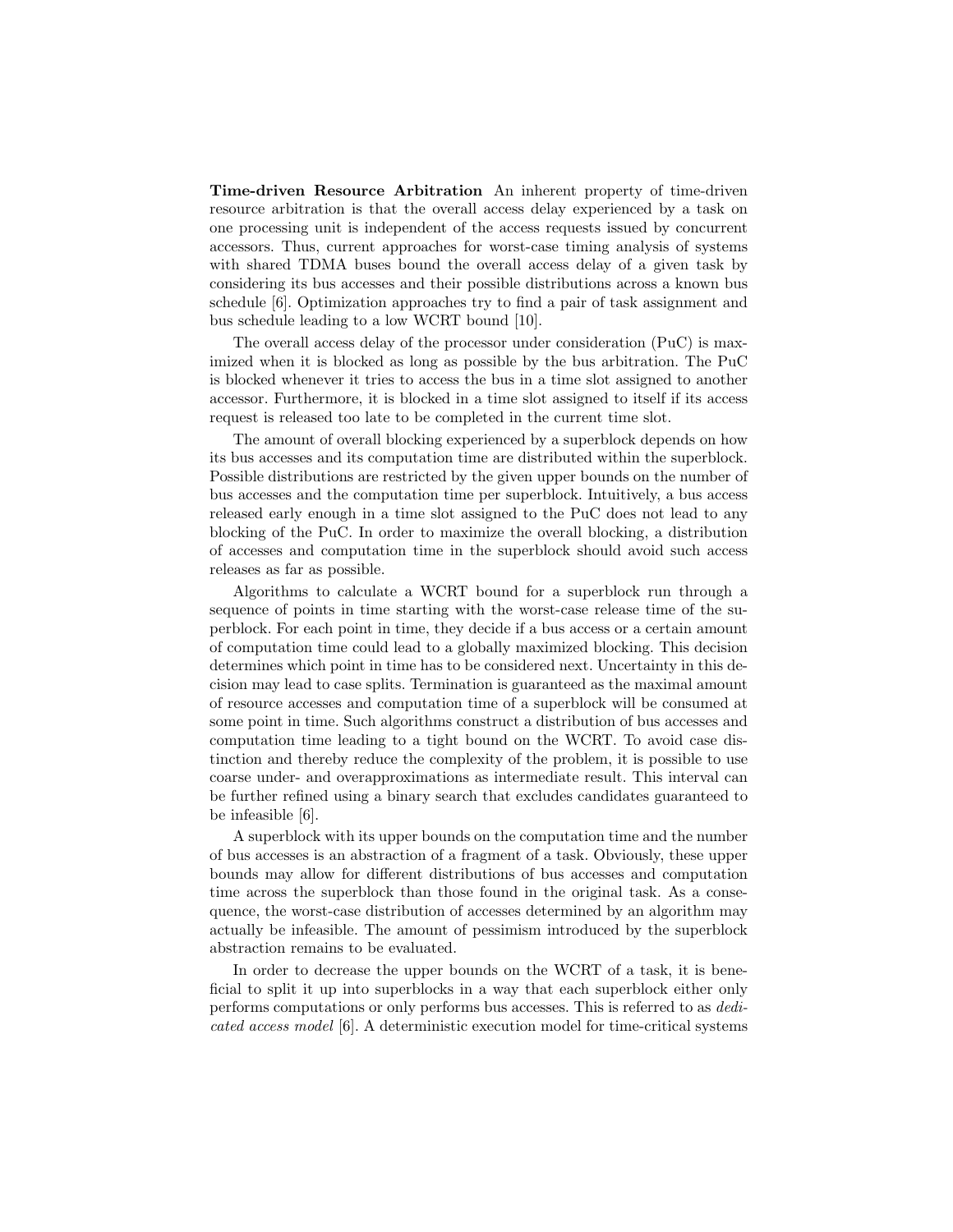Time-driven Resource Arbitration An inherent property of time-driven resource arbitration is that the overall access delay experienced by a task on one processing unit is independent of the access requests issued by concurrent accessors. Thus, current approaches for worst-case timing analysis of systems with shared TDMA buses bound the overall access delay of a given task by considering its bus accesses and their possible distributions across a known bus schedule [6]. Optimization approaches try to find a pair of task assignment and bus schedule leading to a low WCRT bound [10].

The overall access delay of the processor under consideration (PuC) is maximized when it is blocked as long as possible by the bus arbitration. The PuC is blocked whenever it tries to access the bus in a time slot assigned to another accessor. Furthermore, it is blocked in a time slot assigned to itself if its access request is released too late to be completed in the current time slot.

The amount of overall blocking experienced by a superblock depends on how its bus accesses and its computation time are distributed within the superblock. Possible distributions are restricted by the given upper bounds on the number of bus accesses and the computation time per superblock. Intuitively, a bus access released early enough in a time slot assigned to the PuC does not lead to any blocking of the PuC. In order to maximize the overall blocking, a distribution of accesses and computation time in the superblock should avoid such access releases as far as possible.

Algorithms to calculate a WCRT bound for a superblock run through a sequence of points in time starting with the worst-case release time of the superblock. For each point in time, they decide if a bus access or a certain amount of computation time could lead to a globally maximized blocking. This decision determines which point in time has to be considered next. Uncertainty in this decision may lead to case splits. Termination is guaranteed as the maximal amount of resource accesses and computation time of a superblock will be consumed at some point in time. Such algorithms construct a distribution of bus accesses and computation time leading to a tight bound on the WCRT. To avoid case distinction and thereby reduce the complexity of the problem, it is possible to use coarse under- and overapproximations as intermediate result. This interval can be further refined using a binary search that excludes candidates guaranteed to be infeasible [6].

A superblock with its upper bounds on the computation time and the number of bus accesses is an abstraction of a fragment of a task. Obviously, these upper bounds may allow for different distributions of bus accesses and computation time across the superblock than those found in the original task. As a consequence, the worst-case distribution of accesses determined by an algorithm may actually be infeasible. The amount of pessimism introduced by the superblock abstraction remains to be evaluated.

In order to decrease the upper bounds on the WCRT of a task, it is beneficial to split it up into superblocks in a way that each superblock either only performs computations or only performs bus accesses. This is referred to as dedicated access model [6]. A deterministic execution model for time-critical systems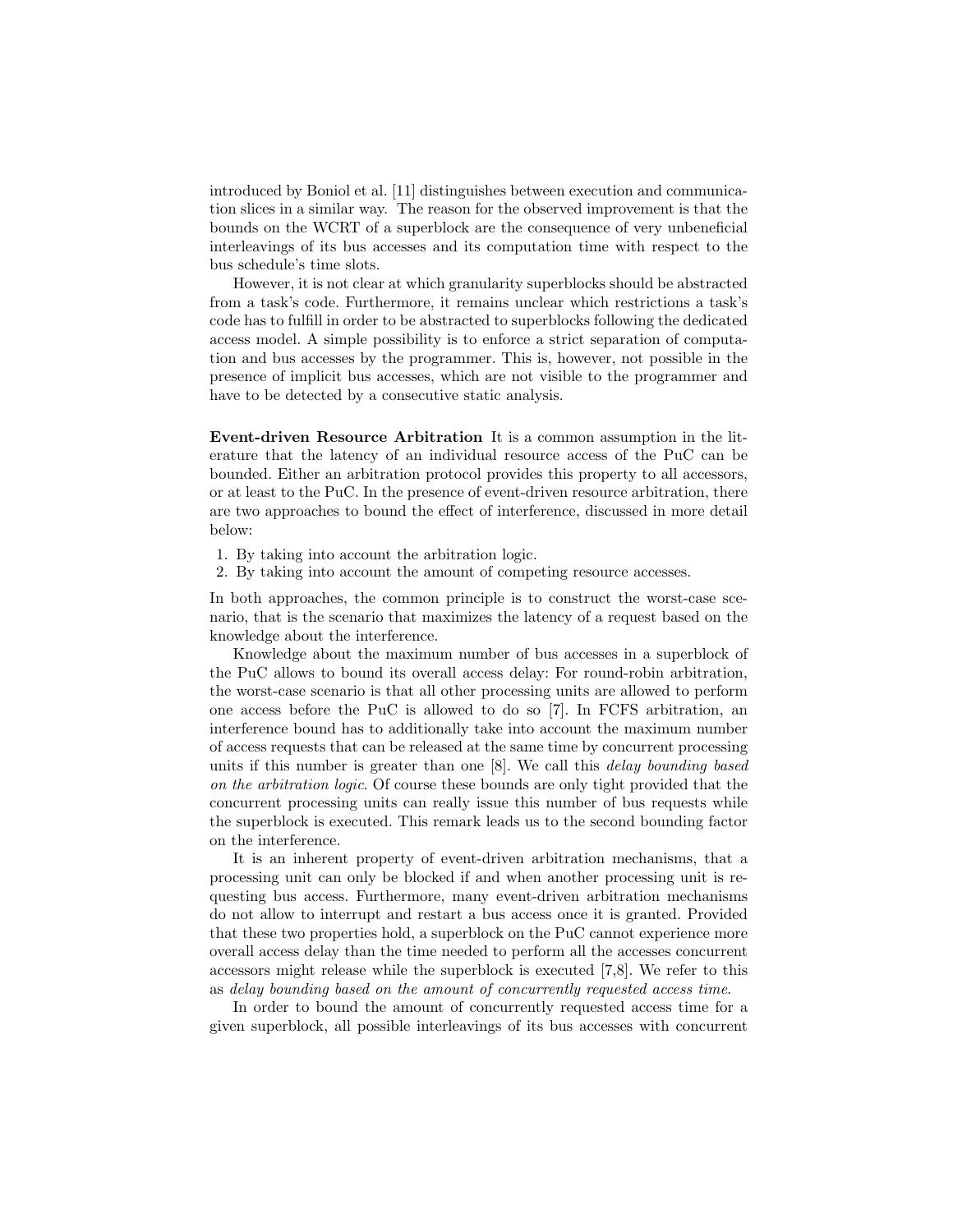introduced by Boniol et al. [11] distinguishes between execution and communication slices in a similar way. The reason for the observed improvement is that the bounds on the WCRT of a superblock are the consequence of very unbeneficial interleavings of its bus accesses and its computation time with respect to the bus schedule's time slots.

However, it is not clear at which granularity superblocks should be abstracted from a task's code. Furthermore, it remains unclear which restrictions a task's code has to fulfill in order to be abstracted to superblocks following the dedicated access model. A simple possibility is to enforce a strict separation of computation and bus accesses by the programmer. This is, however, not possible in the presence of implicit bus accesses, which are not visible to the programmer and have to be detected by a consecutive static analysis.

Event-driven Resource Arbitration It is a common assumption in the literature that the latency of an individual resource access of the PuC can be bounded. Either an arbitration protocol provides this property to all accessors, or at least to the PuC. In the presence of event-driven resource arbitration, there are two approaches to bound the effect of interference, discussed in more detail below:

- 1. By taking into account the arbitration logic.
- 2. By taking into account the amount of competing resource accesses.

In both approaches, the common principle is to construct the worst-case scenario, that is the scenario that maximizes the latency of a request based on the knowledge about the interference.

Knowledge about the maximum number of bus accesses in a superblock of the PuC allows to bound its overall access delay: For round-robin arbitration, the worst-case scenario is that all other processing units are allowed to perform one access before the PuC is allowed to do so [7]. In FCFS arbitration, an interference bound has to additionally take into account the maximum number of access requests that can be released at the same time by concurrent processing units if this number is greater than one  $|8|$ . We call this *delay bounding based* on the arbitration logic. Of course these bounds are only tight provided that the concurrent processing units can really issue this number of bus requests while the superblock is executed. This remark leads us to the second bounding factor on the interference.

It is an inherent property of event-driven arbitration mechanisms, that a processing unit can only be blocked if and when another processing unit is requesting bus access. Furthermore, many event-driven arbitration mechanisms do not allow to interrupt and restart a bus access once it is granted. Provided that these two properties hold, a superblock on the PuC cannot experience more overall access delay than the time needed to perform all the accesses concurrent accessors might release while the superblock is executed [7,8]. We refer to this as delay bounding based on the amount of concurrently requested access time.

In order to bound the amount of concurrently requested access time for a given superblock, all possible interleavings of its bus accesses with concurrent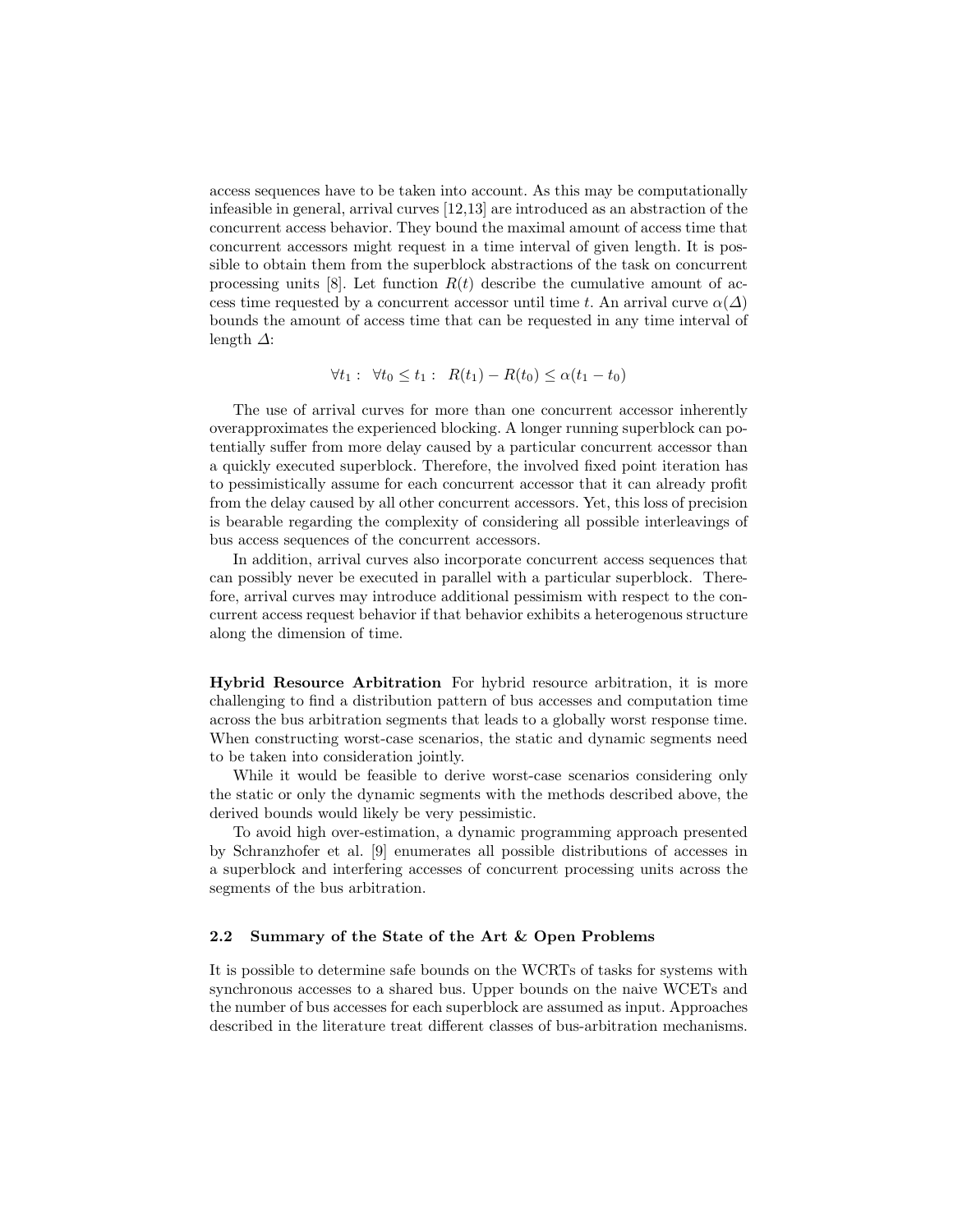access sequences have to be taken into account. As this may be computationally infeasible in general, arrival curves [12,13] are introduced as an abstraction of the concurrent access behavior. They bound the maximal amount of access time that concurrent accessors might request in a time interval of given length. It is possible to obtain them from the superblock abstractions of the task on concurrent processing units [8]. Let function  $R(t)$  describe the cumulative amount of access time requested by a concurrent accessor until time t. An arrival curve  $\alpha(\Delta)$ bounds the amount of access time that can be requested in any time interval of length  $\Delta$ :

$$
\forall t_1: \ \forall t_0 \le t_1: \ R(t_1) - R(t_0) \le \alpha(t_1 - t_0)
$$

The use of arrival curves for more than one concurrent accessor inherently overapproximates the experienced blocking. A longer running superblock can potentially suffer from more delay caused by a particular concurrent accessor than a quickly executed superblock. Therefore, the involved fixed point iteration has to pessimistically assume for each concurrent accessor that it can already profit from the delay caused by all other concurrent accessors. Yet, this loss of precision is bearable regarding the complexity of considering all possible interleavings of bus access sequences of the concurrent accessors.

In addition, arrival curves also incorporate concurrent access sequences that can possibly never be executed in parallel with a particular superblock. Therefore, arrival curves may introduce additional pessimism with respect to the concurrent access request behavior if that behavior exhibits a heterogenous structure along the dimension of time.

Hybrid Resource Arbitration For hybrid resource arbitration, it is more challenging to find a distribution pattern of bus accesses and computation time across the bus arbitration segments that leads to a globally worst response time. When constructing worst-case scenarios, the static and dynamic segments need to be taken into consideration jointly.

While it would be feasible to derive worst-case scenarios considering only the static or only the dynamic segments with the methods described above, the derived bounds would likely be very pessimistic.

To avoid high over-estimation, a dynamic programming approach presented by Schranzhofer et al. [9] enumerates all possible distributions of accesses in a superblock and interfering accesses of concurrent processing units across the segments of the bus arbitration.

#### 2.2 Summary of the State of the Art & Open Problems

It is possible to determine safe bounds on the WCRTs of tasks for systems with synchronous accesses to a shared bus. Upper bounds on the naive WCETs and the number of bus accesses for each superblock are assumed as input. Approaches described in the literature treat different classes of bus-arbitration mechanisms.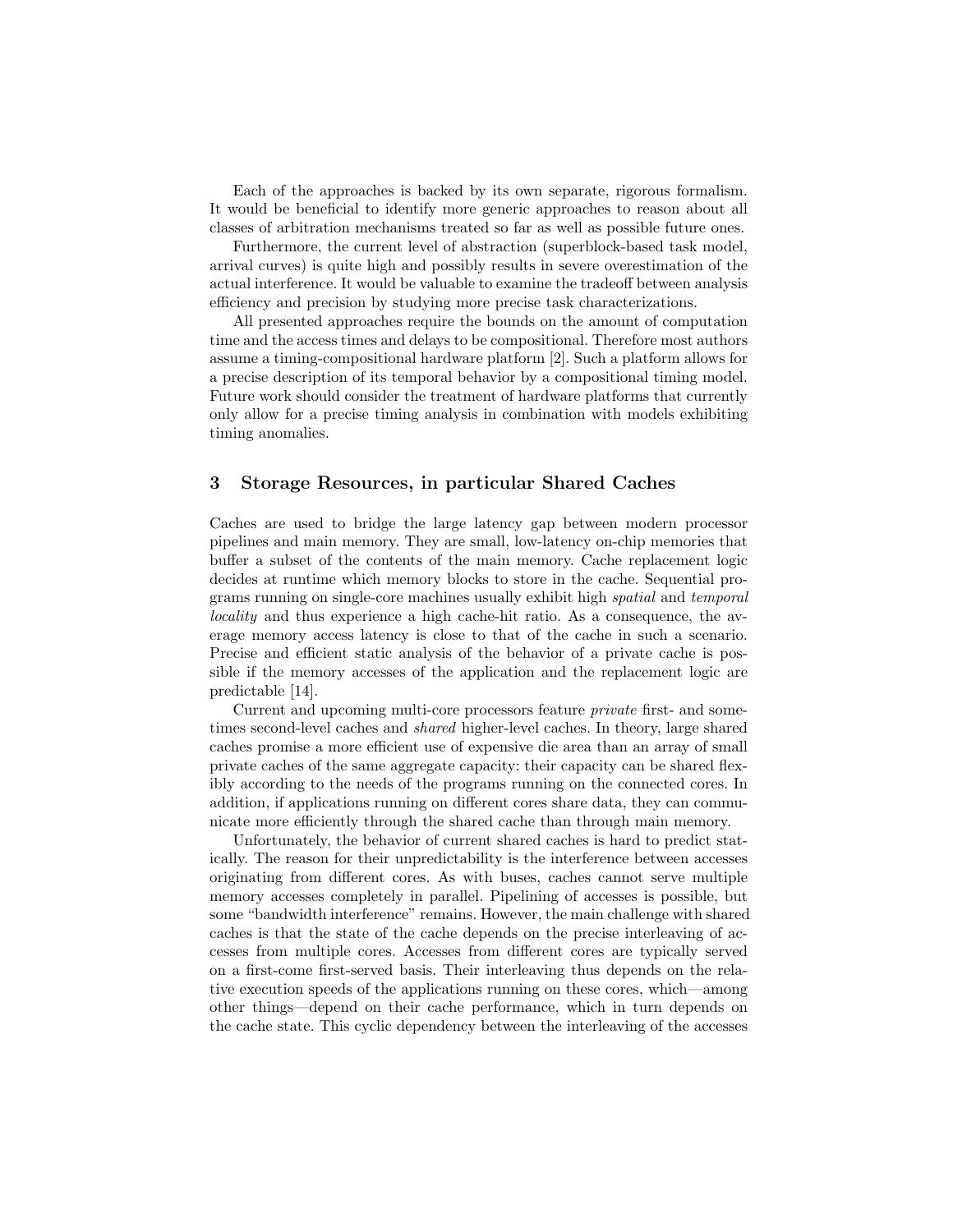Each of the approaches is backed by its own separate, rigorous formalism. It would be beneficial to identify more generic approaches to reason about all classes of arbitration mechanisms treated so far as well as possible future ones.

Furthermore, the current level of abstraction (superblock-based task model, arrival curves) is quite high and possibly results in severe overestimation of the actual interference. It would be valuable to examine the tradeoff between analysis efficiency and precision by studying more precise task characterizations.

All presented approaches require the bounds on the amount of computation time and the access times and delays to be compositional. Therefore most authors assume a timing-compositional hardware platform [2]. Such a platform allows for a precise description of its temporal behavior by a compositional timing model. Future work should consider the treatment of hardware platforms that currently only allow for a precise timing analysis in combination with models exhibiting timing anomalies.

# 3 Storage Resources, in particular Shared Caches

Caches are used to bridge the large latency gap between modern processor pipelines and main memory. They are small, low-latency on-chip memories that buffer a subset of the contents of the main memory. Cache replacement logic decides at runtime which memory blocks to store in the cache. Sequential programs running on single-core machines usually exhibit high spatial and temporal locality and thus experience a high cache-hit ratio. As a consequence, the average memory access latency is close to that of the cache in such a scenario. Precise and efficient static analysis of the behavior of a private cache is possible if the memory accesses of the application and the replacement logic are predictable [14].

Current and upcoming multi-core processors feature private first- and sometimes second-level caches and *shared* higher-level caches. In theory, large shared caches promise a more efficient use of expensive die area than an array of small private caches of the same aggregate capacity: their capacity can be shared flexibly according to the needs of the programs running on the connected cores. In addition, if applications running on different cores share data, they can communicate more efficiently through the shared cache than through main memory.

Unfortunately, the behavior of current shared caches is hard to predict statically. The reason for their unpredictability is the interference between accesses originating from different cores. As with buses, caches cannot serve multiple memory accesses completely in parallel. Pipelining of accesses is possible, but some "bandwidth interference" remains. However, the main challenge with shared caches is that the state of the cache depends on the precise interleaving of accesses from multiple cores. Accesses from different cores are typically served on a first-come first-served basis. Their interleaving thus depends on the relative execution speeds of the applications running on these cores, which—among other things—depend on their cache performance, which in turn depends on the cache state. This cyclic dependency between the interleaving of the accesses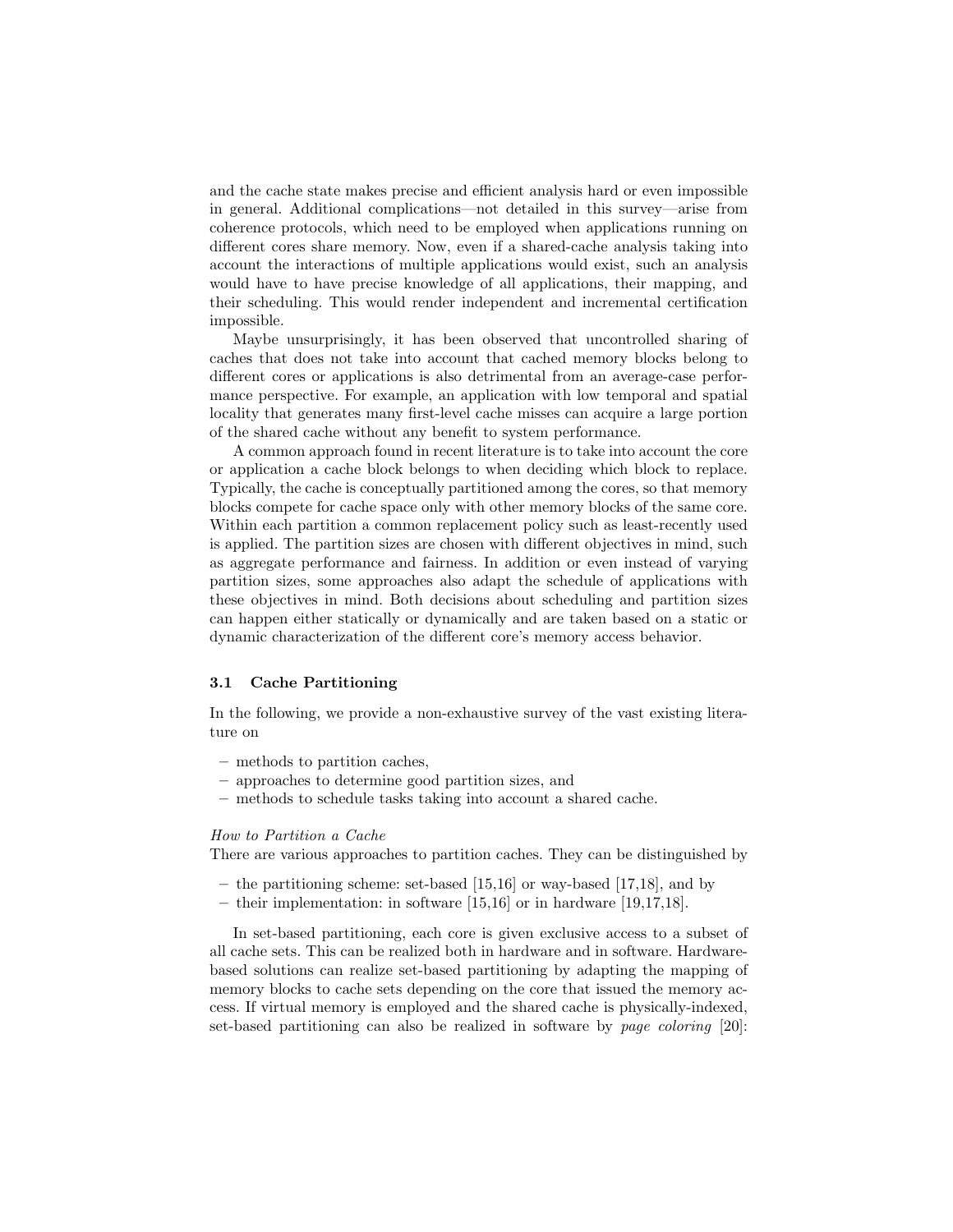and the cache state makes precise and efficient analysis hard or even impossible in general. Additional complications—not detailed in this survey—arise from coherence protocols, which need to be employed when applications running on different cores share memory. Now, even if a shared-cache analysis taking into account the interactions of multiple applications would exist, such an analysis would have to have precise knowledge of all applications, their mapping, and their scheduling. This would render independent and incremental certification impossible.

Maybe unsurprisingly, it has been observed that uncontrolled sharing of caches that does not take into account that cached memory blocks belong to different cores or applications is also detrimental from an average-case performance perspective. For example, an application with low temporal and spatial locality that generates many first-level cache misses can acquire a large portion of the shared cache without any benefit to system performance.

A common approach found in recent literature is to take into account the core or application a cache block belongs to when deciding which block to replace. Typically, the cache is conceptually partitioned among the cores, so that memory blocks compete for cache space only with other memory blocks of the same core. Within each partition a common replacement policy such as least-recently used is applied. The partition sizes are chosen with different objectives in mind, such as aggregate performance and fairness. In addition or even instead of varying partition sizes, some approaches also adapt the schedule of applications with these objectives in mind. Both decisions about scheduling and partition sizes can happen either statically or dynamically and are taken based on a static or dynamic characterization of the different core's memory access behavior.

#### 3.1 Cache Partitioning

In the following, we provide a non-exhaustive survey of the vast existing literature on

- methods to partition caches,
- approaches to determine good partition sizes, and
- methods to schedule tasks taking into account a shared cache.

#### How to Partition a Cache

There are various approaches to partition caches. They can be distinguished by

- the partitioning scheme: set-based [15,16] or way-based [17,18], and by
- their implementation: in software  $[15,16]$  or in hardware  $[19,17,18]$ .

In set-based partitioning, each core is given exclusive access to a subset of all cache sets. This can be realized both in hardware and in software. Hardwarebased solutions can realize set-based partitioning by adapting the mapping of memory blocks to cache sets depending on the core that issued the memory access. If virtual memory is employed and the shared cache is physically-indexed, set-based partitioning can also be realized in software by page coloring [20]: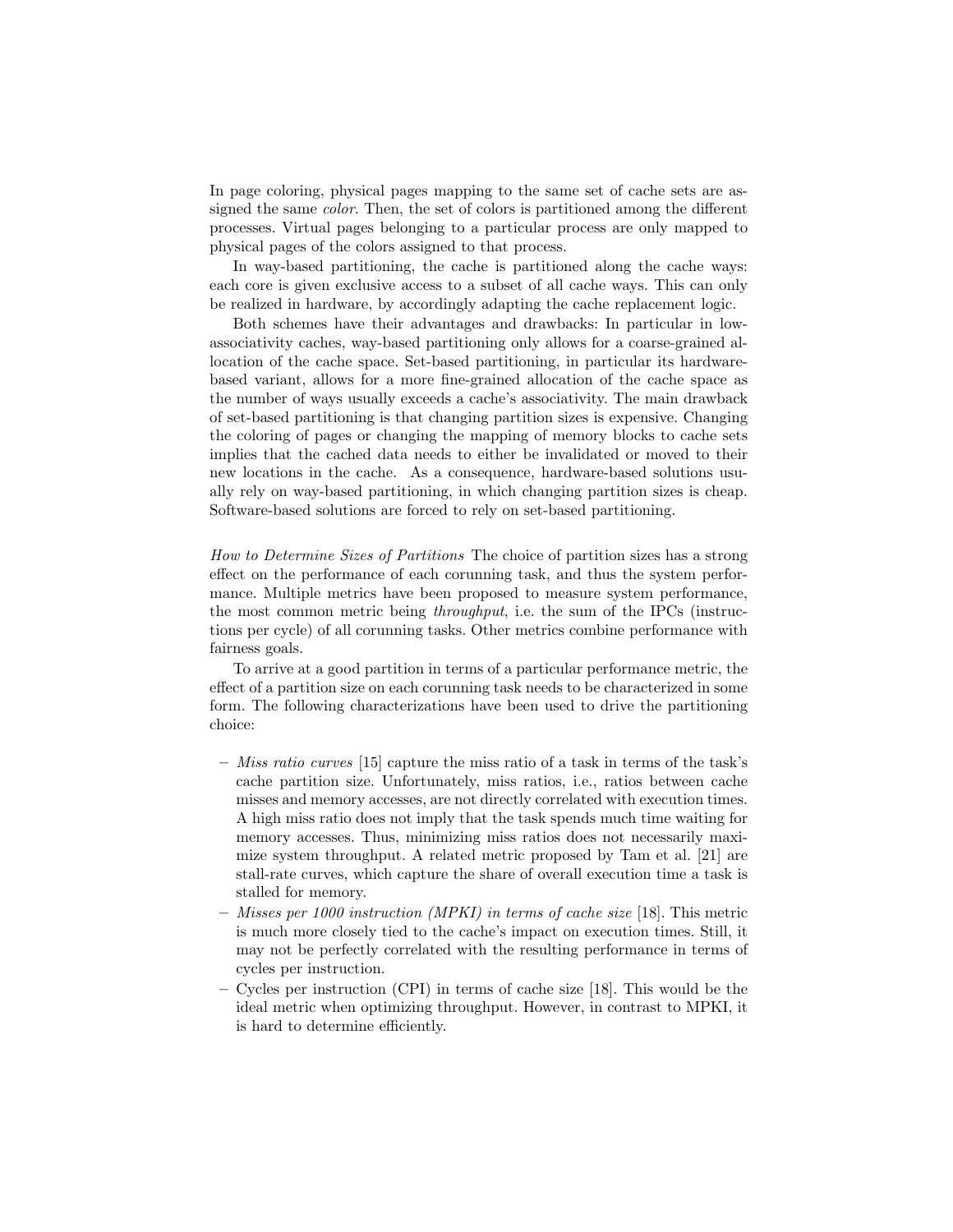In page coloring, physical pages mapping to the same set of cache sets are assigned the same color. Then, the set of colors is partitioned among the different processes. Virtual pages belonging to a particular process are only mapped to physical pages of the colors assigned to that process.

In way-based partitioning, the cache is partitioned along the cache ways: each core is given exclusive access to a subset of all cache ways. This can only be realized in hardware, by accordingly adapting the cache replacement logic.

Both schemes have their advantages and drawbacks: In particular in lowassociativity caches, way-based partitioning only allows for a coarse-grained allocation of the cache space. Set-based partitioning, in particular its hardwarebased variant, allows for a more fine-grained allocation of the cache space as the number of ways usually exceeds a cache's associativity. The main drawback of set-based partitioning is that changing partition sizes is expensive. Changing the coloring of pages or changing the mapping of memory blocks to cache sets implies that the cached data needs to either be invalidated or moved to their new locations in the cache. As a consequence, hardware-based solutions usually rely on way-based partitioning, in which changing partition sizes is cheap. Software-based solutions are forced to rely on set-based partitioning.

How to Determine Sizes of Partitions The choice of partition sizes has a strong effect on the performance of each corunning task, and thus the system performance. Multiple metrics have been proposed to measure system performance, the most common metric being throughput, i.e. the sum of the IPCs (instructions per cycle) of all corunning tasks. Other metrics combine performance with fairness goals.

To arrive at a good partition in terms of a particular performance metric, the effect of a partition size on each corunning task needs to be characterized in some form. The following characterizations have been used to drive the partitioning choice:

- $-$  *Miss ratio curves* [15] capture the miss ratio of a task in terms of the task's cache partition size. Unfortunately, miss ratios, i.e., ratios between cache misses and memory accesses, are not directly correlated with execution times. A high miss ratio does not imply that the task spends much time waiting for memory accesses. Thus, minimizing miss ratios does not necessarily maximize system throughput. A related metric proposed by Tam et al. [21] are stall-rate curves, which capture the share of overall execution time a task is stalled for memory.
- Misses per 1000 instruction (MPKI) in terms of cache size [18]. This metric is much more closely tied to the cache's impact on execution times. Still, it may not be perfectly correlated with the resulting performance in terms of cycles per instruction.
- Cycles per instruction (CPI) in terms of cache size [18]. This would be the ideal metric when optimizing throughput. However, in contrast to MPKI, it is hard to determine efficiently.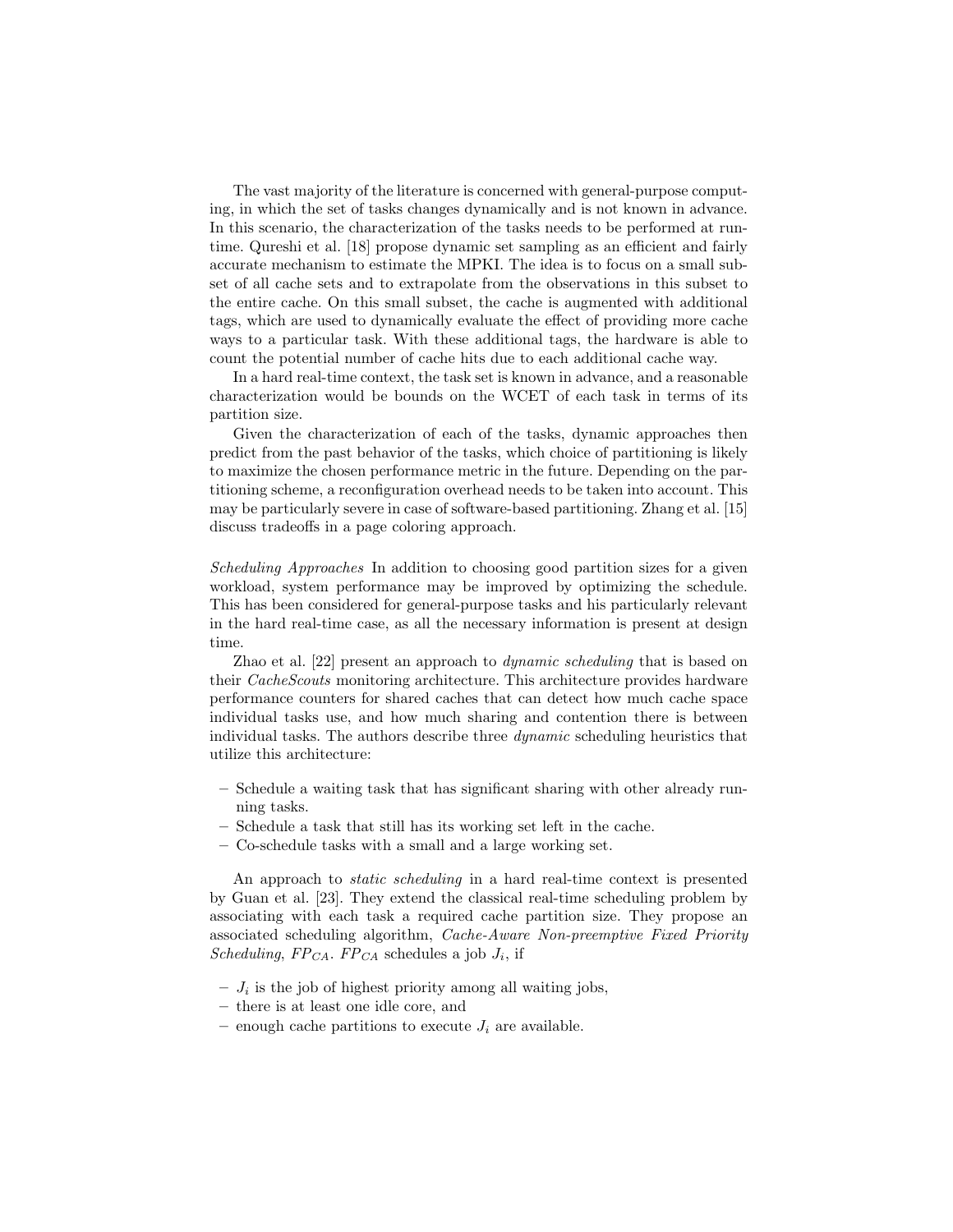The vast majority of the literature is concerned with general-purpose computing, in which the set of tasks changes dynamically and is not known in advance. In this scenario, the characterization of the tasks needs to be performed at runtime. Qureshi et al. [18] propose dynamic set sampling as an efficient and fairly accurate mechanism to estimate the MPKI. The idea is to focus on a small subset of all cache sets and to extrapolate from the observations in this subset to the entire cache. On this small subset, the cache is augmented with additional tags, which are used to dynamically evaluate the effect of providing more cache ways to a particular task. With these additional tags, the hardware is able to count the potential number of cache hits due to each additional cache way.

In a hard real-time context, the task set is known in advance, and a reasonable characterization would be bounds on the WCET of each task in terms of its partition size.

Given the characterization of each of the tasks, dynamic approaches then predict from the past behavior of the tasks, which choice of partitioning is likely to maximize the chosen performance metric in the future. Depending on the partitioning scheme, a reconfiguration overhead needs to be taken into account. This may be particularly severe in case of software-based partitioning. Zhang et al. [15] discuss tradeoffs in a page coloring approach.

Scheduling Approaches In addition to choosing good partition sizes for a given workload, system performance may be improved by optimizing the schedule. This has been considered for general-purpose tasks and his particularly relevant in the hard real-time case, as all the necessary information is present at design time.

Zhao et al. [22] present an approach to dynamic scheduling that is based on their CacheScouts monitoring architecture. This architecture provides hardware performance counters for shared caches that can detect how much cache space individual tasks use, and how much sharing and contention there is between individual tasks. The authors describe three dynamic scheduling heuristics that utilize this architecture:

- Schedule a waiting task that has significant sharing with other already running tasks.
- Schedule a task that still has its working set left in the cache.
- Co-schedule tasks with a small and a large working set.

An approach to static scheduling in a hard real-time context is presented by Guan et al. [23]. They extend the classical real-time scheduling problem by associating with each task a required cache partition size. They propose an associated scheduling algorithm, Cache-Aware Non-preemptive Fixed Priority Scheduling,  $FP_{CA}$ .  $FP_{CA}$  schedules a job  $J_i$ , if

- $-J_i$  is the job of highest priority among all waiting jobs,
- there is at least one idle core, and
- enough cache partitions to execute  $J_i$  are available.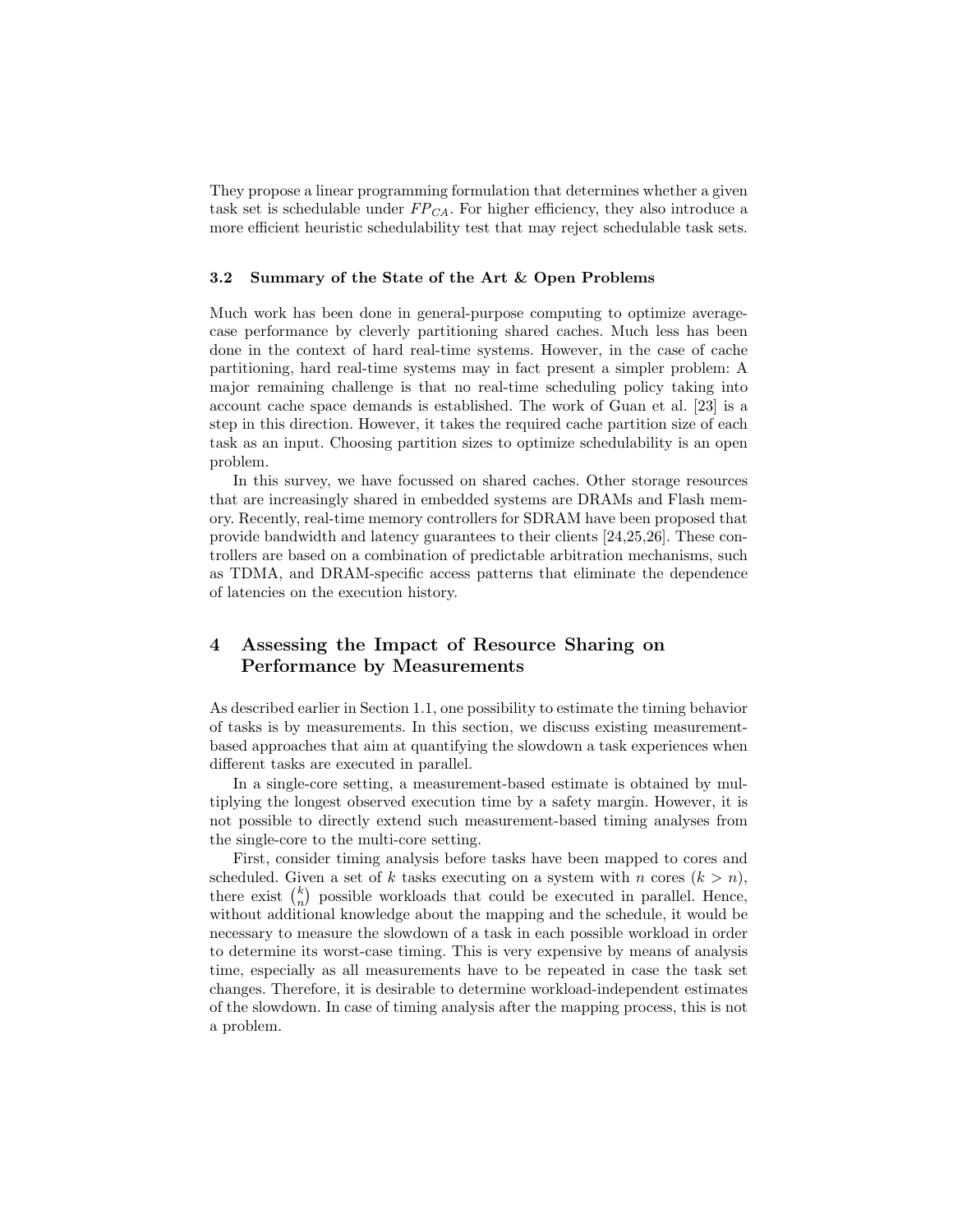They propose a linear programming formulation that determines whether a given task set is schedulable under  $FP_{CA}$ . For higher efficiency, they also introduce a more efficient heuristic schedulability test that may reject schedulable task sets.

#### 3.2 Summary of the State of the Art & Open Problems

Much work has been done in general-purpose computing to optimize averagecase performance by cleverly partitioning shared caches. Much less has been done in the context of hard real-time systems. However, in the case of cache partitioning, hard real-time systems may in fact present a simpler problem: A major remaining challenge is that no real-time scheduling policy taking into account cache space demands is established. The work of Guan et al. [23] is a step in this direction. However, it takes the required cache partition size of each task as an input. Choosing partition sizes to optimize schedulability is an open problem.

In this survey, we have focussed on shared caches. Other storage resources that are increasingly shared in embedded systems are DRAMs and Flash memory. Recently, real-time memory controllers for SDRAM have been proposed that provide bandwidth and latency guarantees to their clients [24,25,26]. These controllers are based on a combination of predictable arbitration mechanisms, such as TDMA, and DRAM-specific access patterns that eliminate the dependence of latencies on the execution history.

# 4 Assessing the Impact of Resource Sharing on Performance by Measurements

As described earlier in Section 1.1, one possibility to estimate the timing behavior of tasks is by measurements. In this section, we discuss existing measurementbased approaches that aim at quantifying the slowdown a task experiences when different tasks are executed in parallel.

In a single-core setting, a measurement-based estimate is obtained by multiplying the longest observed execution time by a safety margin. However, it is not possible to directly extend such measurement-based timing analyses from the single-core to the multi-core setting.

First, consider timing analysis before tasks have been mapped to cores and scheduled. Given a set of k tasks executing on a system with n cores  $(k > n)$ , there exist  $\binom{k}{n}$  possible workloads that could be executed in parallel. Hence, without additional knowledge about the mapping and the schedule, it would be necessary to measure the slowdown of a task in each possible workload in order to determine its worst-case timing. This is very expensive by means of analysis time, especially as all measurements have to be repeated in case the task set changes. Therefore, it is desirable to determine workload-independent estimates of the slowdown. In case of timing analysis after the mapping process, this is not a problem.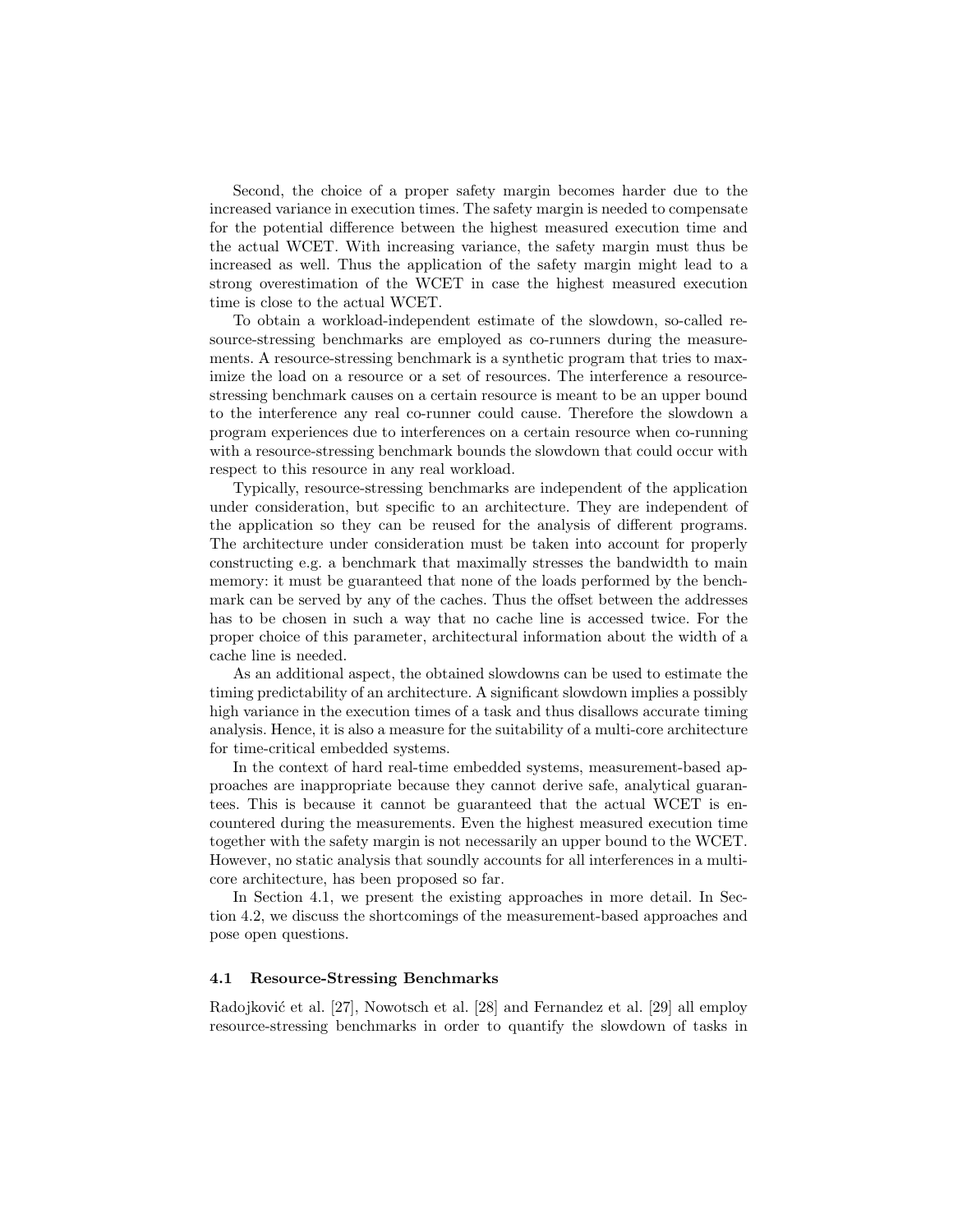Second, the choice of a proper safety margin becomes harder due to the increased variance in execution times. The safety margin is needed to compensate for the potential difference between the highest measured execution time and the actual WCET. With increasing variance, the safety margin must thus be increased as well. Thus the application of the safety margin might lead to a strong overestimation of the WCET in case the highest measured execution time is close to the actual WCET.

To obtain a workload-independent estimate of the slowdown, so-called resource-stressing benchmarks are employed as co-runners during the measurements. A resource-stressing benchmark is a synthetic program that tries to maximize the load on a resource or a set of resources. The interference a resourcestressing benchmark causes on a certain resource is meant to be an upper bound to the interference any real co-runner could cause. Therefore the slowdown a program experiences due to interferences on a certain resource when co-running with a resource-stressing benchmark bounds the slowdown that could occur with respect to this resource in any real workload.

Typically, resource-stressing benchmarks are independent of the application under consideration, but specific to an architecture. They are independent of the application so they can be reused for the analysis of different programs. The architecture under consideration must be taken into account for properly constructing e.g. a benchmark that maximally stresses the bandwidth to main memory: it must be guaranteed that none of the loads performed by the benchmark can be served by any of the caches. Thus the offset between the addresses has to be chosen in such a way that no cache line is accessed twice. For the proper choice of this parameter, architectural information about the width of a cache line is needed.

As an additional aspect, the obtained slowdowns can be used to estimate the timing predictability of an architecture. A significant slowdown implies a possibly high variance in the execution times of a task and thus disallows accurate timing analysis. Hence, it is also a measure for the suitability of a multi-core architecture for time-critical embedded systems.

In the context of hard real-time embedded systems, measurement-based approaches are inappropriate because they cannot derive safe, analytical guarantees. This is because it cannot be guaranteed that the actual WCET is encountered during the measurements. Even the highest measured execution time together with the safety margin is not necessarily an upper bound to the WCET. However, no static analysis that soundly accounts for all interferences in a multicore architecture, has been proposed so far.

In Section 4.1, we present the existing approaches in more detail. In Section 4.2, we discuss the shortcomings of the measurement-based approaches and pose open questions.

#### 4.1 Resource-Stressing Benchmarks

Radojković et al. [27], Nowotsch et al. [28] and Fernandez et al. [29] all employ resource-stressing benchmarks in order to quantify the slowdown of tasks in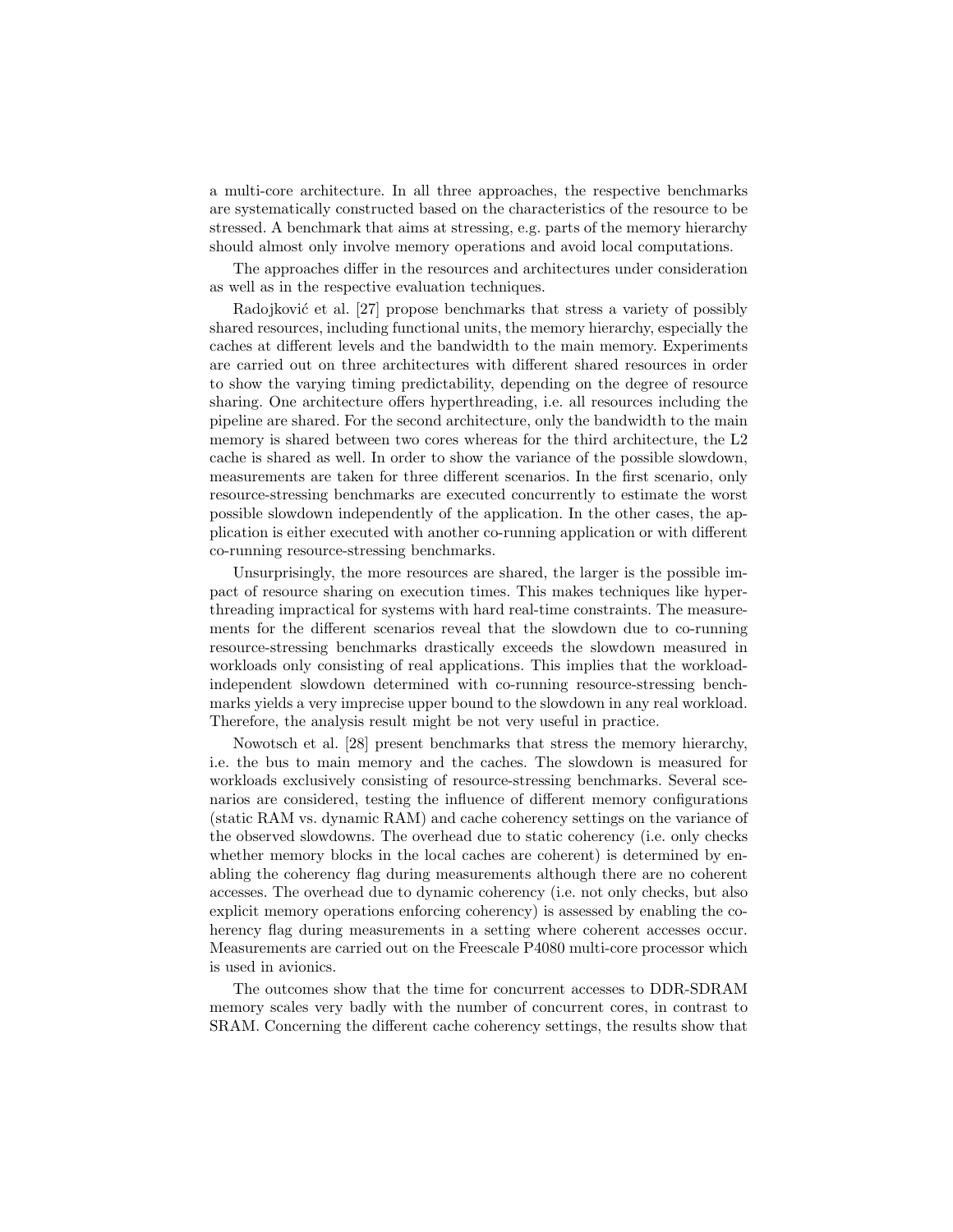a multi-core architecture. In all three approaches, the respective benchmarks are systematically constructed based on the characteristics of the resource to be stressed. A benchmark that aims at stressing, e.g. parts of the memory hierarchy should almost only involve memory operations and avoid local computations.

The approaches differ in the resources and architectures under consideration as well as in the respective evaluation techniques.

Radojković et al. [27] propose benchmarks that stress a variety of possibly shared resources, including functional units, the memory hierarchy, especially the caches at different levels and the bandwidth to the main memory. Experiments are carried out on three architectures with different shared resources in order to show the varying timing predictability, depending on the degree of resource sharing. One architecture offers hyperthreading, i.e. all resources including the pipeline are shared. For the second architecture, only the bandwidth to the main memory is shared between two cores whereas for the third architecture, the L2 cache is shared as well. In order to show the variance of the possible slowdown, measurements are taken for three different scenarios. In the first scenario, only resource-stressing benchmarks are executed concurrently to estimate the worst possible slowdown independently of the application. In the other cases, the application is either executed with another co-running application or with different co-running resource-stressing benchmarks.

Unsurprisingly, the more resources are shared, the larger is the possible impact of resource sharing on execution times. This makes techniques like hyperthreading impractical for systems with hard real-time constraints. The measurements for the different scenarios reveal that the slowdown due to co-running resource-stressing benchmarks drastically exceeds the slowdown measured in workloads only consisting of real applications. This implies that the workloadindependent slowdown determined with co-running resource-stressing benchmarks yields a very imprecise upper bound to the slowdown in any real workload. Therefore, the analysis result might be not very useful in practice.

Nowotsch et al. [28] present benchmarks that stress the memory hierarchy, i.e. the bus to main memory and the caches. The slowdown is measured for workloads exclusively consisting of resource-stressing benchmarks. Several scenarios are considered, testing the influence of different memory configurations (static RAM vs. dynamic RAM) and cache coherency settings on the variance of the observed slowdowns. The overhead due to static coherency (i.e. only checks whether memory blocks in the local caches are coherent) is determined by enabling the coherency flag during measurements although there are no coherent accesses. The overhead due to dynamic coherency (i.e. not only checks, but also explicit memory operations enforcing coherency) is assessed by enabling the coherency flag during measurements in a setting where coherent accesses occur. Measurements are carried out on the Freescale P4080 multi-core processor which is used in avionics.

The outcomes show that the time for concurrent accesses to DDR-SDRAM memory scales very badly with the number of concurrent cores, in contrast to SRAM. Concerning the different cache coherency settings, the results show that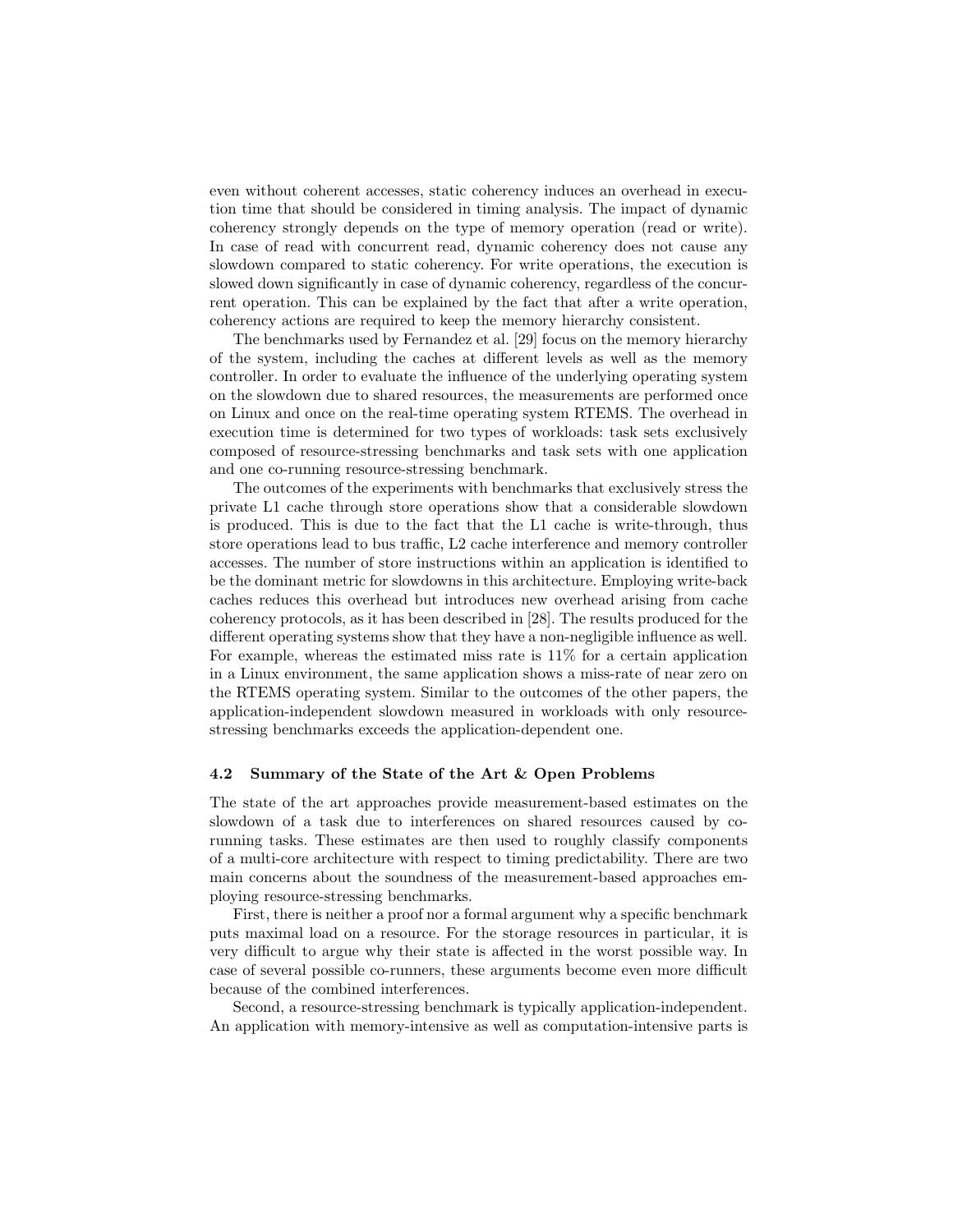even without coherent accesses, static coherency induces an overhead in execution time that should be considered in timing analysis. The impact of dynamic coherency strongly depends on the type of memory operation (read or write). In case of read with concurrent read, dynamic coherency does not cause any slowdown compared to static coherency. For write operations, the execution is slowed down significantly in case of dynamic coherency, regardless of the concurrent operation. This can be explained by the fact that after a write operation, coherency actions are required to keep the memory hierarchy consistent.

The benchmarks used by Fernandez et al. [29] focus on the memory hierarchy of the system, including the caches at different levels as well as the memory controller. In order to evaluate the influence of the underlying operating system on the slowdown due to shared resources, the measurements are performed once on Linux and once on the real-time operating system RTEMS. The overhead in execution time is determined for two types of workloads: task sets exclusively composed of resource-stressing benchmarks and task sets with one application and one co-running resource-stressing benchmark.

The outcomes of the experiments with benchmarks that exclusively stress the private L1 cache through store operations show that a considerable slowdown is produced. This is due to the fact that the L1 cache is write-through, thus store operations lead to bus traffic, L2 cache interference and memory controller accesses. The number of store instructions within an application is identified to be the dominant metric for slowdowns in this architecture. Employing write-back caches reduces this overhead but introduces new overhead arising from cache coherency protocols, as it has been described in [28]. The results produced for the different operating systems show that they have a non-negligible influence as well. For example, whereas the estimated miss rate is 11% for a certain application in a Linux environment, the same application shows a miss-rate of near zero on the RTEMS operating system. Similar to the outcomes of the other papers, the application-independent slowdown measured in workloads with only resourcestressing benchmarks exceeds the application-dependent one.

#### 4.2 Summary of the State of the Art & Open Problems

The state of the art approaches provide measurement-based estimates on the slowdown of a task due to interferences on shared resources caused by corunning tasks. These estimates are then used to roughly classify components of a multi-core architecture with respect to timing predictability. There are two main concerns about the soundness of the measurement-based approaches employing resource-stressing benchmarks.

First, there is neither a proof nor a formal argument why a specific benchmark puts maximal load on a resource. For the storage resources in particular, it is very difficult to argue why their state is affected in the worst possible way. In case of several possible co-runners, these arguments become even more difficult because of the combined interferences.

Second, a resource-stressing benchmark is typically application-independent. An application with memory-intensive as well as computation-intensive parts is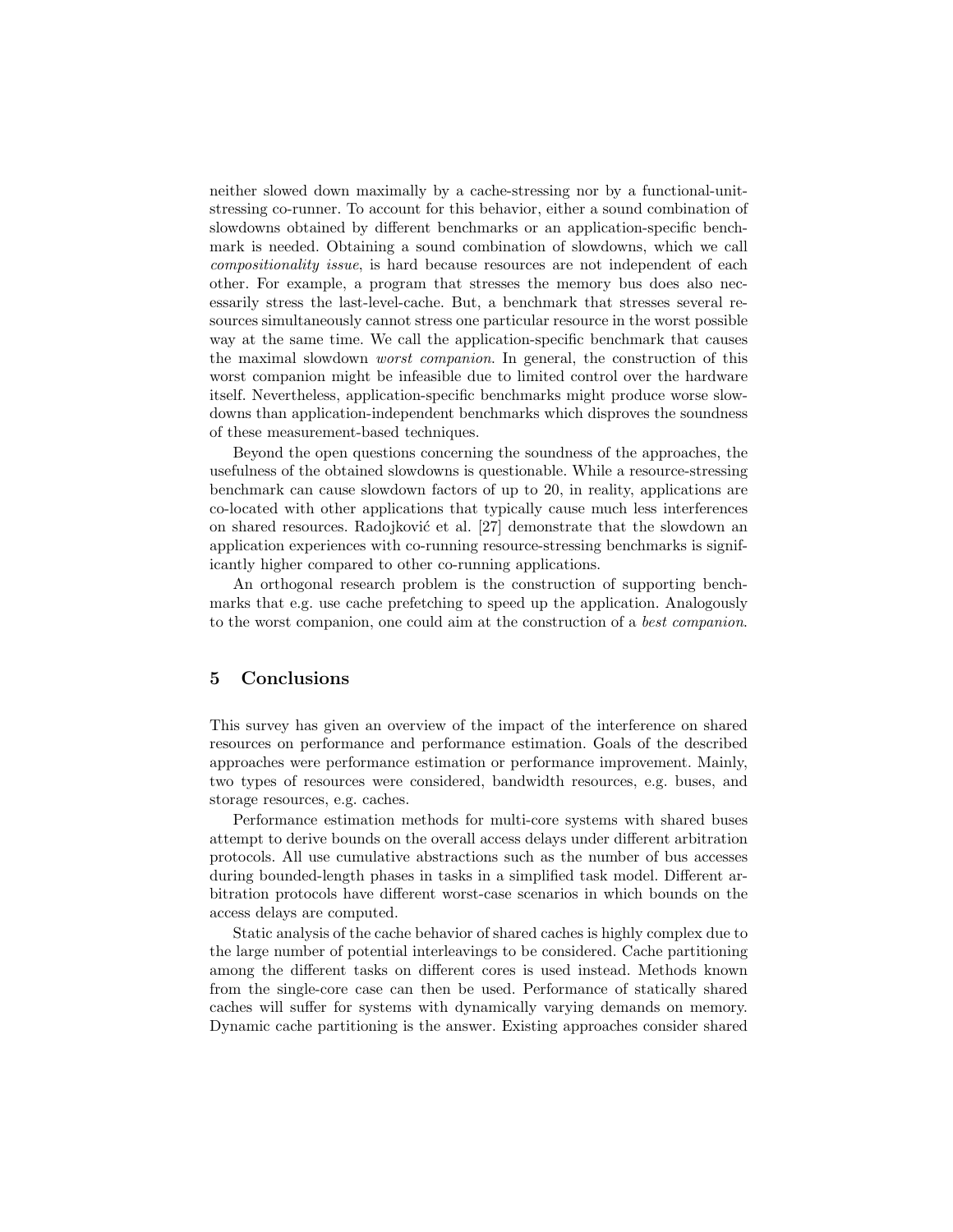neither slowed down maximally by a cache-stressing nor by a functional-unitstressing co-runner. To account for this behavior, either a sound combination of slowdowns obtained by different benchmarks or an application-specific benchmark is needed. Obtaining a sound combination of slowdowns, which we call compositionality issue, is hard because resources are not independent of each other. For example, a program that stresses the memory bus does also necessarily stress the last-level-cache. But, a benchmark that stresses several resources simultaneously cannot stress one particular resource in the worst possible way at the same time. We call the application-specific benchmark that causes the maximal slowdown worst companion. In general, the construction of this worst companion might be infeasible due to limited control over the hardware itself. Nevertheless, application-specific benchmarks might produce worse slowdowns than application-independent benchmarks which disproves the soundness of these measurement-based techniques.

Beyond the open questions concerning the soundness of the approaches, the usefulness of the obtained slowdowns is questionable. While a resource-stressing benchmark can cause slowdown factors of up to 20, in reality, applications are co-located with other applications that typically cause much less interferences on shared resources. Radojković et al. [27] demonstrate that the slowdown an application experiences with co-running resource-stressing benchmarks is significantly higher compared to other co-running applications.

An orthogonal research problem is the construction of supporting benchmarks that e.g. use cache prefetching to speed up the application. Analogously to the worst companion, one could aim at the construction of a best companion.

# 5 Conclusions

This survey has given an overview of the impact of the interference on shared resources on performance and performance estimation. Goals of the described approaches were performance estimation or performance improvement. Mainly, two types of resources were considered, bandwidth resources, e.g. buses, and storage resources, e.g. caches.

Performance estimation methods for multi-core systems with shared buses attempt to derive bounds on the overall access delays under different arbitration protocols. All use cumulative abstractions such as the number of bus accesses during bounded-length phases in tasks in a simplified task model. Different arbitration protocols have different worst-case scenarios in which bounds on the access delays are computed.

Static analysis of the cache behavior of shared caches is highly complex due to the large number of potential interleavings to be considered. Cache partitioning among the different tasks on different cores is used instead. Methods known from the single-core case can then be used. Performance of statically shared caches will suffer for systems with dynamically varying demands on memory. Dynamic cache partitioning is the answer. Existing approaches consider shared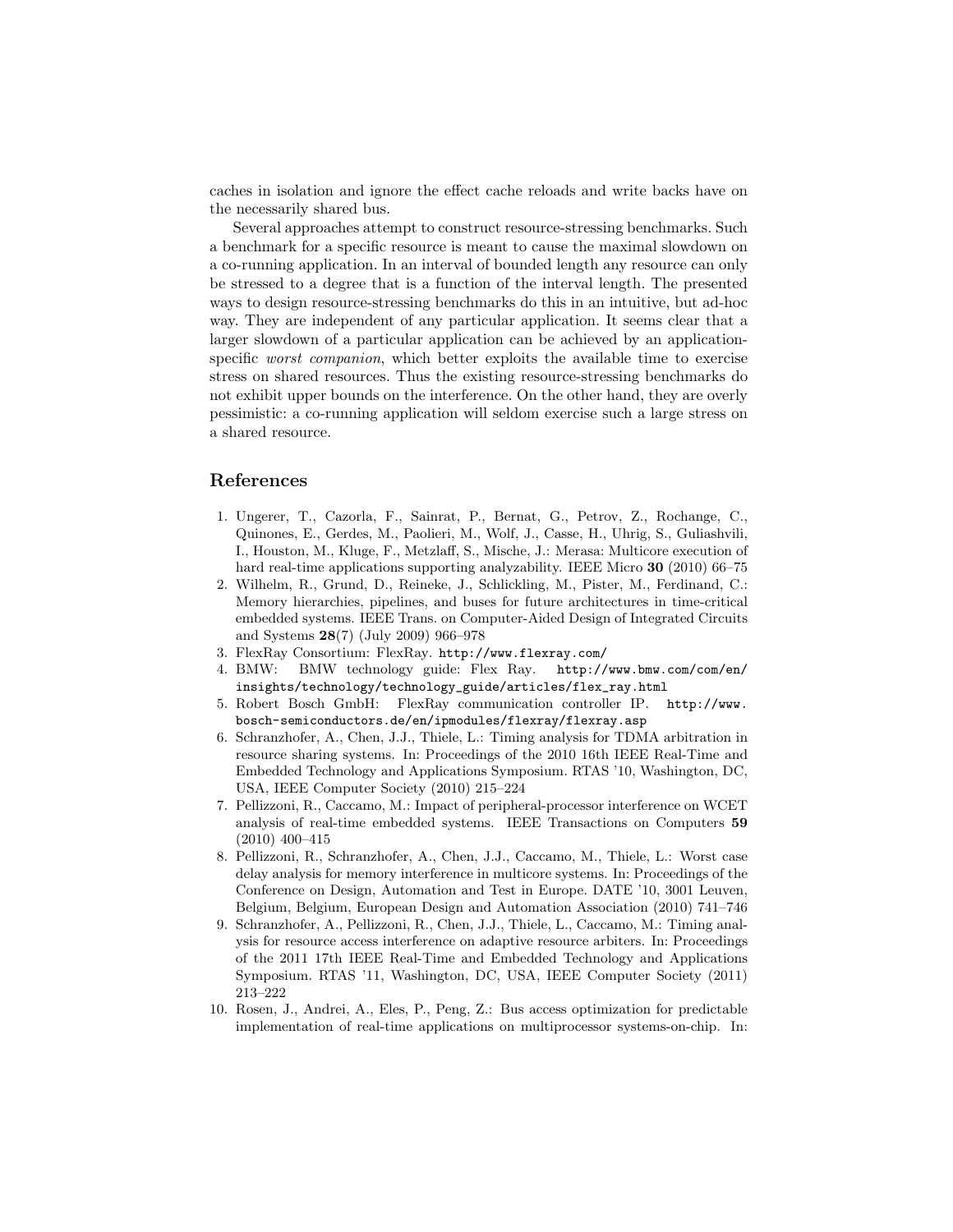caches in isolation and ignore the effect cache reloads and write backs have on the necessarily shared bus.

Several approaches attempt to construct resource-stressing benchmarks. Such a benchmark for a specific resource is meant to cause the maximal slowdown on a co-running application. In an interval of bounded length any resource can only be stressed to a degree that is a function of the interval length. The presented ways to design resource-stressing benchmarks do this in an intuitive, but ad-hoc way. They are independent of any particular application. It seems clear that a larger slowdown of a particular application can be achieved by an applicationspecific *worst companion*, which better exploits the available time to exercise stress on shared resources. Thus the existing resource-stressing benchmarks do not exhibit upper bounds on the interference. On the other hand, they are overly pessimistic: a co-running application will seldom exercise such a large stress on a shared resource.

## References

- 1. Ungerer, T., Cazorla, F., Sainrat, P., Bernat, G., Petrov, Z., Rochange, C., Quinones, E., Gerdes, M., Paolieri, M., Wolf, J., Casse, H., Uhrig, S., Guliashvili, I., Houston, M., Kluge, F., Metzlaff, S., Mische, J.: Merasa: Multicore execution of hard real-time applications supporting analyzability. IEEE Micro 30 (2010) 66–75
- 2. Wilhelm, R., Grund, D., Reineke, J., Schlickling, M., Pister, M., Ferdinand, C.: Memory hierarchies, pipelines, and buses for future architectures in time-critical embedded systems. IEEE Trans. on Computer-Aided Design of Integrated Circuits and Systems 28(7) (July 2009) 966–978
- 3. FlexRay Consortium: FlexRay. http://www.flexray.com/
- 4. BMW: BMW technology guide: Flex Ray. http://www.bmw.com/com/en/ insights/technology/technology\_guide/articles/flex\_ray.html
- 5. Robert Bosch GmbH: FlexRay communication controller IP. http://www. bosch-semiconductors.de/en/ipmodules/flexray/flexray.asp
- 6. Schranzhofer, A., Chen, J.J., Thiele, L.: Timing analysis for TDMA arbitration in resource sharing systems. In: Proceedings of the 2010 16th IEEE Real-Time and Embedded Technology and Applications Symposium. RTAS '10, Washington, DC, USA, IEEE Computer Society (2010) 215–224
- 7. Pellizzoni, R., Caccamo, M.: Impact of peripheral-processor interference on WCET analysis of real-time embedded systems. IEEE Transactions on Computers 59 (2010) 400–415
- 8. Pellizzoni, R., Schranzhofer, A., Chen, J.J., Caccamo, M., Thiele, L.: Worst case delay analysis for memory interference in multicore systems. In: Proceedings of the Conference on Design, Automation and Test in Europe. DATE '10, 3001 Leuven, Belgium, Belgium, European Design and Automation Association (2010) 741–746
- 9. Schranzhofer, A., Pellizzoni, R., Chen, J.J., Thiele, L., Caccamo, M.: Timing analysis for resource access interference on adaptive resource arbiters. In: Proceedings of the 2011 17th IEEE Real-Time and Embedded Technology and Applications Symposium. RTAS '11, Washington, DC, USA, IEEE Computer Society (2011) 213–222
- 10. Rosen, J., Andrei, A., Eles, P., Peng, Z.: Bus access optimization for predictable implementation of real-time applications on multiprocessor systems-on-chip. In: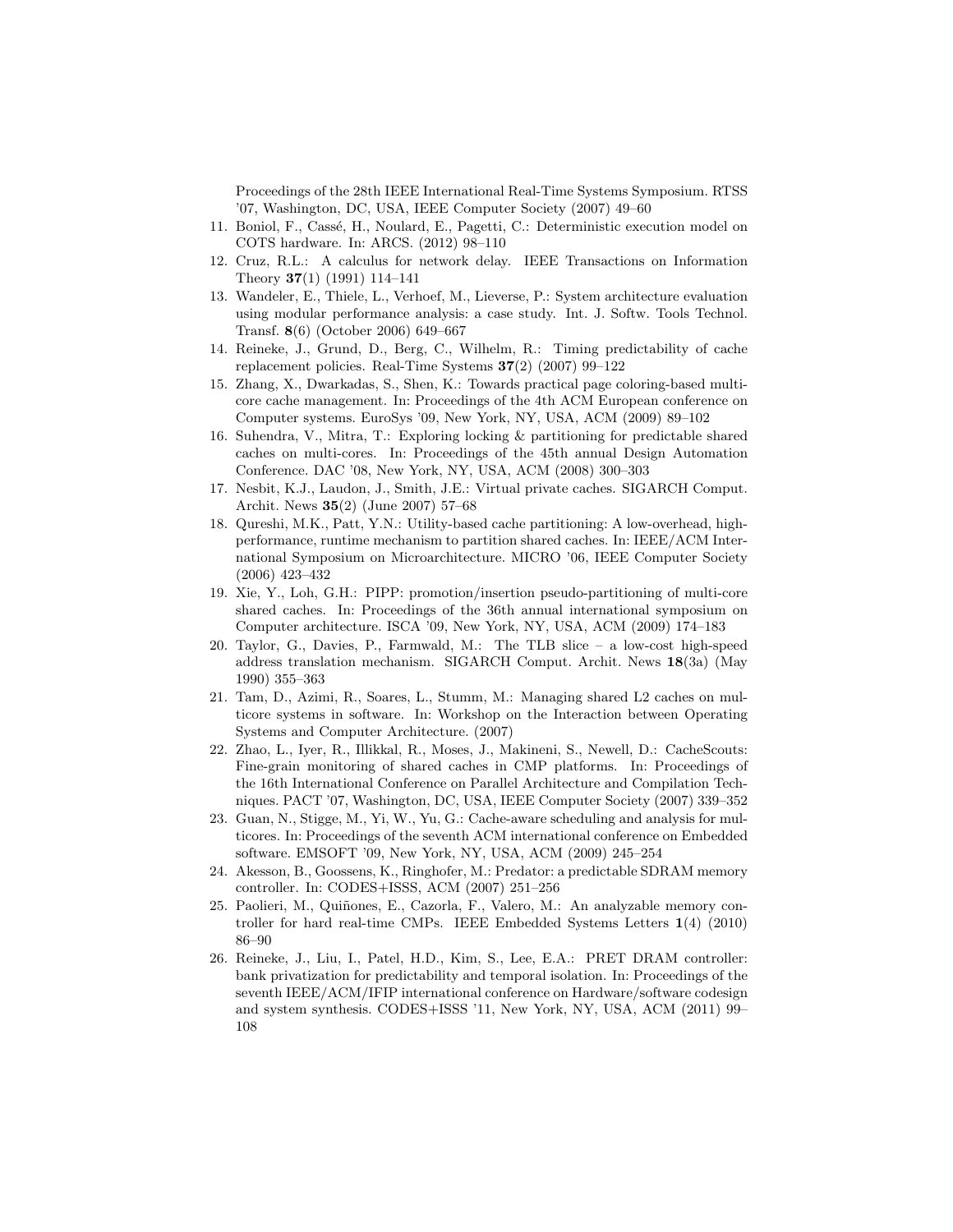Proceedings of the 28th IEEE International Real-Time Systems Symposium. RTSS '07, Washington, DC, USA, IEEE Computer Society (2007) 49–60

- 11. Boniol, F., Cassé, H., Noulard, E., Pagetti, C.: Deterministic execution model on COTS hardware. In: ARCS. (2012) 98–110
- 12. Cruz, R.L.: A calculus for network delay. IEEE Transactions on Information Theory 37(1) (1991) 114–141
- 13. Wandeler, E., Thiele, L., Verhoef, M., Lieverse, P.: System architecture evaluation using modular performance analysis: a case study. Int. J. Softw. Tools Technol. Transf. 8(6) (October 2006) 649–667
- 14. Reineke, J., Grund, D., Berg, C., Wilhelm, R.: Timing predictability of cache replacement policies. Real-Time Systems  $37(2)$  (2007) 99-122
- 15. Zhang, X., Dwarkadas, S., Shen, K.: Towards practical page coloring-based multicore cache management. In: Proceedings of the 4th ACM European conference on Computer systems. EuroSys '09, New York, NY, USA, ACM (2009) 89–102
- 16. Suhendra, V., Mitra, T.: Exploring locking & partitioning for predictable shared caches on multi-cores. In: Proceedings of the 45th annual Design Automation Conference. DAC '08, New York, NY, USA, ACM (2008) 300–303
- 17. Nesbit, K.J., Laudon, J., Smith, J.E.: Virtual private caches. SIGARCH Comput. Archit. News 35(2) (June 2007) 57–68
- 18. Qureshi, M.K., Patt, Y.N.: Utility-based cache partitioning: A low-overhead, highperformance, runtime mechanism to partition shared caches. In: IEEE/ACM International Symposium on Microarchitecture. MICRO '06, IEEE Computer Society (2006) 423–432
- 19. Xie, Y., Loh, G.H.: PIPP: promotion/insertion pseudo-partitioning of multi-core shared caches. In: Proceedings of the 36th annual international symposium on Computer architecture. ISCA '09, New York, NY, USA, ACM (2009) 174–183
- 20. Taylor, G., Davies, P., Farmwald, M.: The TLB slice a low-cost high-speed address translation mechanism. SIGARCH Comput. Archit. News 18(3a) (May 1990) 355–363
- 21. Tam, D., Azimi, R., Soares, L., Stumm, M.: Managing shared L2 caches on multicore systems in software. In: Workshop on the Interaction between Operating Systems and Computer Architecture. (2007)
- 22. Zhao, L., Iyer, R., Illikkal, R., Moses, J., Makineni, S., Newell, D.: CacheScouts: Fine-grain monitoring of shared caches in CMP platforms. In: Proceedings of the 16th International Conference on Parallel Architecture and Compilation Techniques. PACT '07, Washington, DC, USA, IEEE Computer Society (2007) 339–352
- 23. Guan, N., Stigge, M., Yi, W., Yu, G.: Cache-aware scheduling and analysis for multicores. In: Proceedings of the seventh ACM international conference on Embedded software. EMSOFT '09, New York, NY, USA, ACM (2009) 245–254
- 24. Akesson, B., Goossens, K., Ringhofer, M.: Predator: a predictable SDRAM memory controller. In: CODES+ISSS, ACM (2007) 251–256
- 25. Paolieri, M., Quiñones, E., Cazorla, F., Valero, M.: An analyzable memory controller for hard real-time CMPs. IEEE Embedded Systems Letters 1(4) (2010) 86–90
- 26. Reineke, J., Liu, I., Patel, H.D., Kim, S., Lee, E.A.: PRET DRAM controller: bank privatization for predictability and temporal isolation. In: Proceedings of the seventh IEEE/ACM/IFIP international conference on Hardware/software codesign and system synthesis. CODES+ISSS '11, New York, NY, USA, ACM (2011) 99– 108